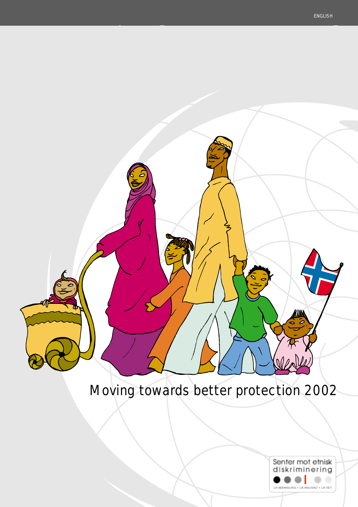



# Moving towards better protection 2002

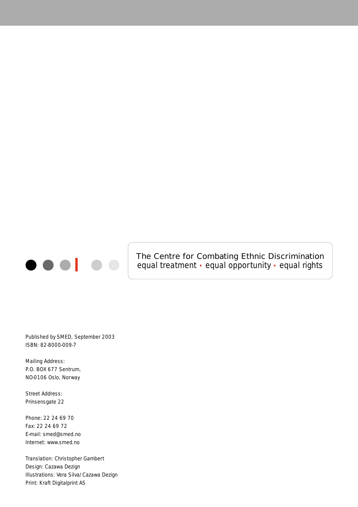

The Centre for Combating Ethnic Discrimination equal treatment • equal opportunity • equal rights

Published by SMED, September 2003 ISBN: 82-8000-009-7

Mailing Address: P.O. BOX 677 Sentrum, NO-0106 Oslo, Norway

Street Address: Prinsensgate 22

Phone: 22 24 69 70 Fax: 22 24 69 72 E-mail: smed@smed.no Internet: www.smed.no

Translation: Christopher Gambert Design: Cazawa Dezign Illustrations: Vera Silva/Cazawa Dezign Print: Kraft Digitalprint AS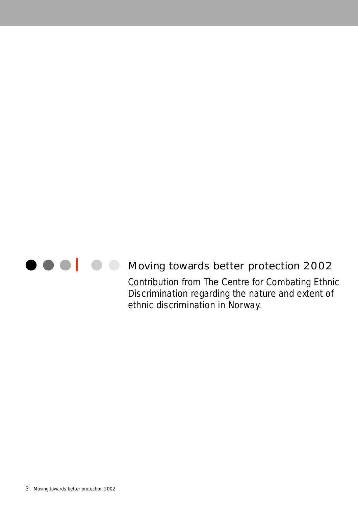

# **OCOOO** Moving towards better protection 2002

Contribution from The Centre for Combating Ethnic Discrimination regarding the nature and extent of ethnic discrimination in Norway.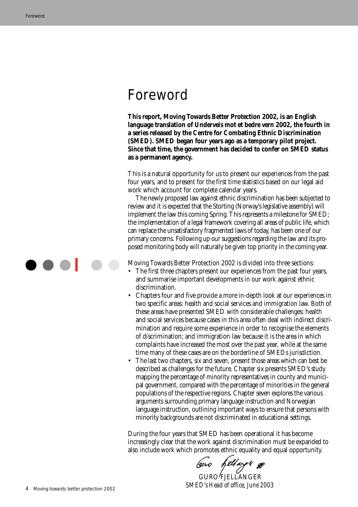### Foreword

**This report, Moving Towards Better Protection 2002, is an English language translation of Underveis mot et bedre vern 2002, the fourth in a series released by the Centre for Combating Ethnic Discrimination (SMED). SMED began four years ago as a temporary pilot project. Since that time, the government has decided to confer on SMED status as a permanent agency.**

This is a natural opportunity for us to present our experiences from the past four years, and to present for the first time statistics based on our legal aid work which account for complete calendar years.

The newly proposed law against ethnic discrimination has been subjected to review and it is expected that the Storting (Norway's legislative assembly) will implement the law this coming Spring. This represents a milestone for SMED; the implementation of a legal framework covering all areas of public life, which can replace the unsatisfactory fragmented laws of today, has been one of our primary concerns. Following up our suggestions regarding the law and its proposed monitoring body will naturally be given top priority in the coming year.

Moving Towards Better Protection 2002 is divided into three sections:

- The first three chapters present our experiences from the past four years, and summarise important developments in our work against ethnic discrimination.
- Chapters four and five provide a more in-depth look at our experiences in two specific areas: health and social services and immigration law. Both of these areas have presented SMED with considerable challenges: health and social services because cases in this area often deal with indirect discrimination and require some experience in order to recognise the elements of discrimination; and immigration law because it is the area in which complaints have increased the most over the past year, while at the same time many of these cases are on the borderline of SMEDs jurisdiction.
- The last two chapters, six and seven, present those areas which can best be described as challenges for the future. Chapter six presents SMED's study mapping the percentage of minority representatives in county and municipal government, compared with the percentage of minorities in the general populations of the respective regions. Chapter seven explores the various arguments surrounding primary language instruction and Norwegian language instruction, outlining important ways to ensure that persons with minority backgrounds are not discriminated in educational settings.

During the four years that SMED has been operational it has become increasingly clear that the work against discrimination must be expanded to also include work which promotes ethnic equality and equal opportunity.

geno fell ny V go

*SMED's Head of office, June 2003*

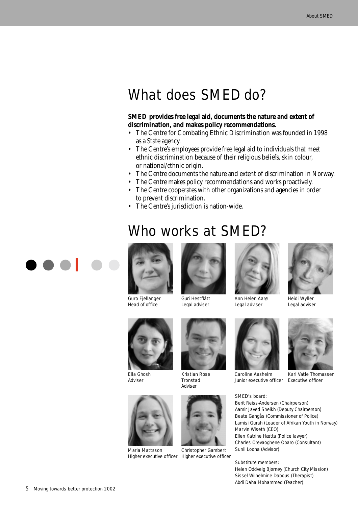## What does SMED do?

#### **SMED provides free legal aid, documents the nature and extent of discrimination, and makes policy recommendations.**

- The Centre for Combating Ethnic Discrimination was founded in 1998 as a State agency.
- The Centre's employees provide free legal aid to individuals that meet ethnic discrimination because of their religious beliefs, skin colour, or national/ethnic origin.
- The Centre documents the nature and extent of discrimination in Norway.
- The Centre makes policy recommendations and works proactively.
- The Centre cooperates with other organizations and agencies in order to prevent discrimination.
- The Centre's jurisdiction is nation-wide.

## Who works at SMED?





Guro Fjellanger Head of office



Guri Hestflått Legal adviser



Ann Helen Aarø Legal adviser



Kari Vatle Thomassen

Heidi Wyller Legal adviser



Ella Ghosh Adviser

Maria Mattsson



Kristian Rose Tronstad Adviser



Higher executive officer Higher executive officer Christopher Gambert



Caroline Aasheim Junior executive officer Executive officer

#### SMED's board:

Berit Reiss-Andersen (Chairperson) Aamir Javed Sheikh (Deputy Chairperson) Beate Gangås (Commissioner of Police) Lamisi Gurah (Leader of Afrikan Youth in Norway) Marvin Wiseth (CEO) Ellen Katrine Hætta (Police lawyer) Charles Orevaoghene Obaro (Consultant) Sunil Loona (Advisor)

*Substitute members:* Helen Oddveig Bjørnøy (Church City Mission) Sissel Wilhelmine Dabous (Therapist) Abdi Daha Mohammed (Teacher)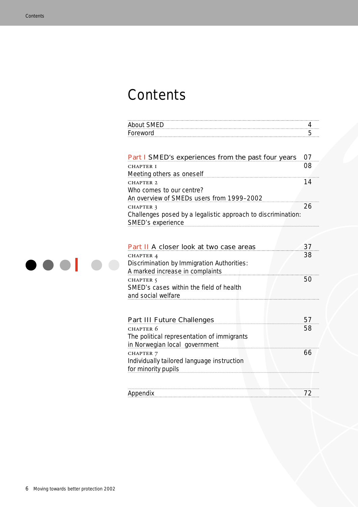# **Contents**

| About SMEI |  |
|------------|--|
| Foreword   |  |

| Part I SMED's experiences from the past four years           | 07 |
|--------------------------------------------------------------|----|
| CHAPTER I                                                    |    |
| Meeting others as oneself                                    |    |
| CHAPTER 2                                                    |    |
| Who comes to our centre?                                     |    |
| An overview of SMEDs users from 1999-2002                    |    |
| <b>CHAPTER 3</b>                                             |    |
| Challenges posed by a legalistic approach to discrimination: |    |
| SMED's experience                                            |    |

| Part II A closer look at two case areas                         | 37 |
|-----------------------------------------------------------------|----|
| <b>CHAPTER 4</b>                                                | 38 |
| Discrimination by Immigration Authorities:                      |    |
| A marked increase in complaints                                 |    |
| <b>CHAPTER 5</b>                                                | 50 |
| SMED's cases within the field of health                         |    |
| and social welfare                                              |    |
|                                                                 |    |
|                                                                 |    |
| <b>Part III Future Challenges</b>                               | 57 |
| CHAPTER 6                                                       | 58 |
| The political representation of immigrants                      |    |
| $\mathbf{1}$ and $\mathbf{1}$ and $\mathbf{1}$ and $\mathbf{1}$ |    |

| in Norwegian local government              |     |
|--------------------------------------------|-----|
| CHAPTER 7                                  | 66. |
| Individually tailored language instruction |     |
| for minority pupils                        |     |

| Anr |  |
|-----|--|
|     |  |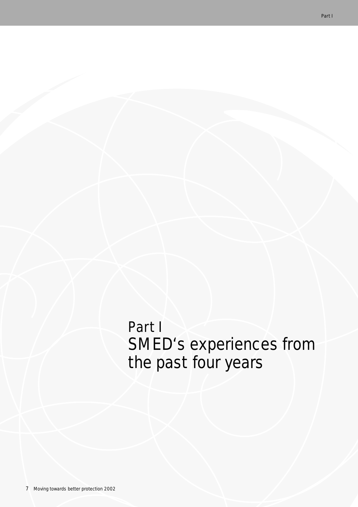# Part I SMED's experiences from the past four years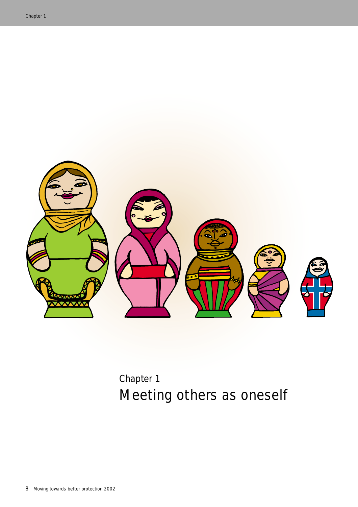

# Chapter 1 Meeting others as oneself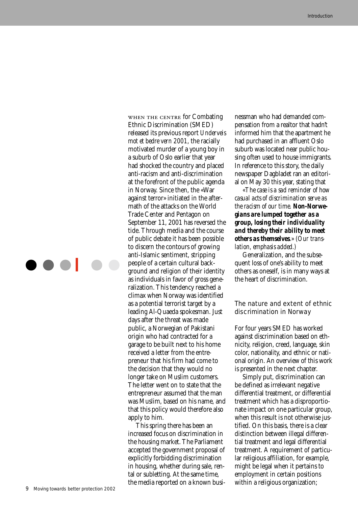in Norway. Since then, the «War against terror» initiated in the aftermath of the attacks on the World Trade Center and Pentagon on September 11, 2001 has reversed the tide. Through media and the course of public debate it has been possible to discern the contours of growing anti-Islamic sentiment, stripping people of a certain cultural background and religion of their identity as individuals in favor of gross generalization. This tendency reached a climax when Norway was identified as a potential terrorist target by a leading Al-Quaeda spokesman. Just days after the threat was made public, a Norwegian of Pakistani

origin who had contracted for a garage to be built next to his home received a letter from the entrepreneur that his firm had come to the decision that they would no longer take on Muslim customers. The letter went on to state that the entrepreneur assumed that the man was Muslim, based on his name, and that this policy would therefore also apply to him.

WHEN THE CENTRE for Combating Ethnic Discrimination (SMED) released its previous report *Underveis mot et bedre vern 2001*, the racially motivated murder of a young boy in a suburb of Oslo earlier that year had shocked the country and placed anti-racism and anti-discrimination at the forefront of the public agenda

This spring there has been an increased focus on discrimination in the housing market. The Parliament accepted the government proposal of explicitly forbidding discrimination in housing, whether during sale, rental or subletting. At the same time,

nessman who had demanded compensation from a realtor that hadn't informed him that the apartment he had purchased in an affluent Oslo suburb was located near public housing often used to house immigrants. In reference to this story, the daily newspaper Dagbladet ran an editorial on May 30 this year, stating that

*«The case is a sad reminder of how casual acts of discrimination serve as the racism of our time. Non-Norwegians are lumped together as a group, losing their individuality and thereby their ability to meet others as themselves.» (Our translation, emphasis added.)*

Generalization, and the subsequent loss of one's ability to meet others as oneself, is in many ways at the heart of discrimination.

#### The nature and extent of ethnic discrimination in Norway

For four years SMED has worked against discrimination based on ethnicity, religion, creed, language, skin color, nationality, and ethnic or national origin. An overview of this work is presented in the next chapter.

the media reported on a known busi-within a religious organization; <sup>9</sup> Moving towards better protection 2002 Simply put, discrimination can be defined as irrelevant negative differential treatment, or differential treatment which has a disproportionate impact on one particular group, when this result is not otherwise justified. On this basis, there is a clear distinction between illegal differential treatment and legal differential treatment. A requirement of particular religious affiliation, for example, might be legal when it pertains to employment in certain positions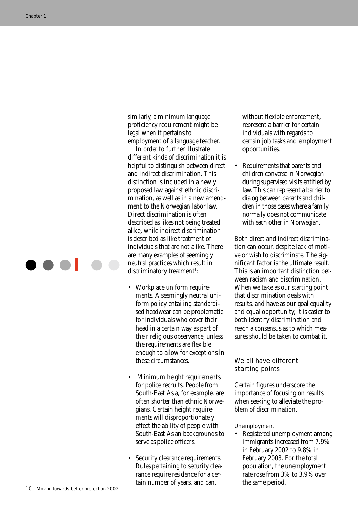similarly, a minimum language proficiency requirement might be legal when it pertains to employment of a language teacher.

In order to further illustrate different kinds of discrimination it is helpful to distinguish between direct and indirect discrimination. This distinction is included in a newly proposed law against ethnic discrimination, as well as in a new amendment to the Norwegian labor law. Direct discrimination is often described as likes not being treated alike, while indirect discrimination is described as like treatment of individuals that are not alike. There are many examples of seemingly neutral practices which result in discriminatory treatment<sup>1</sup>:

- Workplace uniform requirements. A seemingly neutral uniform policy entailing standardised headwear can be problematic for individuals who cover their head in a certain way as part of their religious observance, unless the requirements are flexible enough to allow for exceptions in these circumstances.
- Minimum height requirements for police recruits. People from South-East Asia, for example, are often shorter than ethnic Norwegians. Certain height requirements will disproportionately effect the ability of people with South-East Asian backgrounds to serve as police officers.
- Security clearance requirements. Rules pertaining to security clearance require residence for a certain number of years, and can, the same period.<br>10 Moving towards better protection 2002

without flexible enforcement, represent a barrier for certain individuals with regards to certain job tasks and employment opportunities.

Requirements that parents and children converse in Norwegian during supervised visits entitled by law. This can represent a barrier to dialog between parents and children in those cases where a family normally does not communicate with each other in Norwegian.

Both direct and indirect discrimination can occur, despite lack of motive or wish to discriminate. The significant factor is the ultimate result. This is an important distinction between racism and discrimination. When we take as our starting point that discrimination deals with results, and have as our goal equality and equal opportunity, it is easier to both identify discrimination and reach a consensus as to which measures should be taken to combat it.

#### We all have different starting points

Certain figures underscore the importance of focusing on results when seeking to alleviate the problem of discrimination.

#### *Unemployment*

• Registered unemployment among immigrants increased from 7.9% in February 2002 to 9.8% in February 2003. For the total population, the unemployment rate rose from 3% to 3.9% over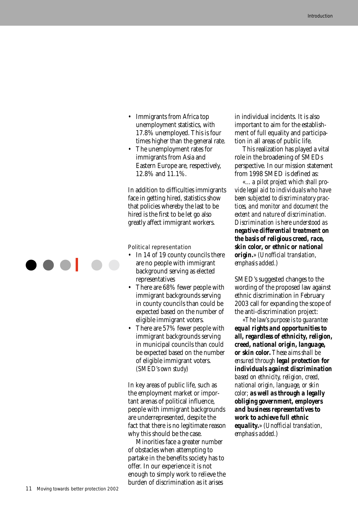- Immigrants from Africa top unemployment statistics, with 17.8% unemployed. This is four times higher than the general rate.
- The unemployment rates for immigrants from Asia and Eastern Europe are, respectively, 12.8% and 11.1%.

In addition to difficulties immigrants face in getting hired, statistics show that policies whereby the last to be hired is the first to be let go also greatly affect immigrant workers.

#### *Political representation*

- In 14 of 19 county councils there are no people with immigrant background serving as elected representatives
- There are 68% fewer people with immigrant backgrounds serving in county councils than could be expected based on the number of eligible immigrant voters.
- There are 57% fewer people with immigrant backgrounds serving in municipal councils than could be expected based on the number of eligible immigrant voters. *(SMED's own study)*

In key areas of public life, such as the employment market or important arenas of political influence, people with immigrant backgrounds are underrepresented, despite the fact that there is no legitimate reason why this should be the case.

Minorities face a greater number of obstacles when attempting to partake in the benefits society has to offer. In our experience it is not enough to simply work to relieve the burden of discrimination as it arises

in individual incidents. It is also important to aim for the establishment of full equality and participation in all areas of public life.

This realization has played a vital role in the broadening of SMEDs perspective. In our mission statement from 1998 SMED is defined as:

*«…a pilot project which shall provide legal aid to individuals who have been subjected to discriminatory practices, and monitor and document the extent and nature of discrimination. Discrimination is here understood as negative differential treatment on the basis of religious creed, race, skin color, or ethnic or national origin.» (Unofficial translation, emphasis added.)*

SMED's suggested changes to the wording of the proposed law against ethnic discrimination in February 2003 call for expanding the scope of the anti-discrimination project:

*«The law's purpose is to guarantee equal rights and opportunities to all, regardless of ethnicity, religion, creed, national origin, language, or skin color. These aims shall be ensured through legal protection for individuals against discrimination based on ethnicity, religion, creed, national origin, language, or skin color; as well as through a legally obliging government, employers and business representatives to work to achieve full ethnic equality.» (Unofficial translation, emphasis added.)*

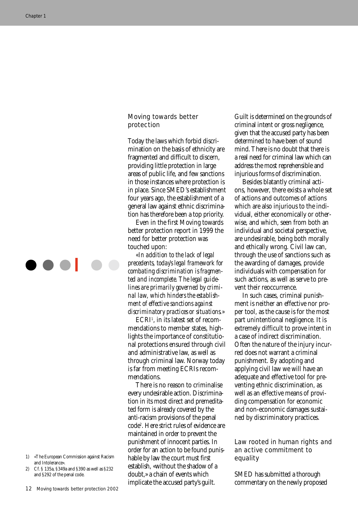#### Moving towards better protection

Today the laws which forbid discrimination on the basis of ethnicity are fragmented and difficult to discern, providing little protection in large areas of public life, and few sanctions in those instances where protection is in place. Since SMED's establishment four years ago, the establishment of a general law against ethnic discrimination has therefore been a top priority.

Even in the first Moving towards better protection report in 1999 the need for better protection was touched upon:

*«In addition to the lack of legal precedents, today's legal framework for combating discrimination is fragmented and incomplete. The legal guidelines are primarily governed by criminal law, which hinders the establishment of effective sanctions against discriminatory practices or situations.»* 

 $ECRI<sup>1</sup>$ , in its latest set of recommendations to member states, highlights the importance of constitutional protections ensured through civil and administrative law, as well as through criminal law. Norway today is far from meeting ECRIs recommendations.

There is no reason to criminalise every undesirable action. Discrimination in its most direct and premeditated form is already covered by the anti-racism provisions of the penal code2 . Here strict rules of evidence are maintained in order to prevent the punishment of innocent parties. In order for an action to be found punishable by law the court must first establish, «without the shadow of a doubt,» a chain of events which implicate the accused party's guilt.

Guilt is determined on the grounds of criminal intent or gross negligence, given that the accused party has been determined to have been of sound mind. There is no doubt that there is a real need for criminal law which can address the most reprehensible and injurious forms of discrimination.

Besides blatantly criminal actions, however, there exists a whole set of actions and outcomes of actions which are also injurious to the individual, either economically or otherwise, and which, seen from both an individual and societal perspective, are undesirable, being both morally and ethically wrong. Civil law can, through the use of sanctions such as the awarding of damages, provide individuals with compensation for such actions, as well as serve to prevent their reoccurrence.

In such cases, criminal punishment is neither an effective nor proper tool, as the cause is for the most part unintentional negligence. It is extremely difficult to prove intent in a case of indirect discrimination. Often the nature of the injury incurred does not warrant a criminal punishment. By adopting and applying civil law we will have an adequate and effective tool for preventing ethnic discrimination, as well as an effective means of providing compensation for economic and non-economic damages sustained by discriminatory practices.

#### Law rooted in human rights and an active commitment to equality

SMED has submitted a thorough commentary on the newly proposed

- 1) «The European Commission against Racism and Intolerance».
- 2) Cf. § 135a, §349a and §390 as well as §232 and §292 of the penal code.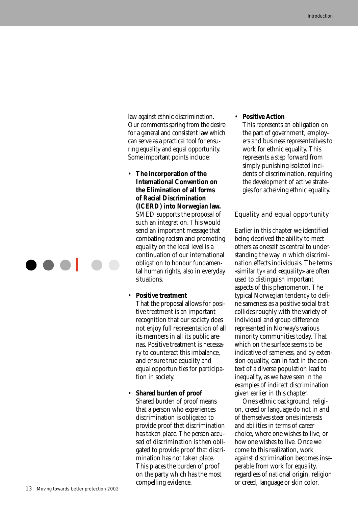law against ethnic discrimination. Our comments spring from the desire for a general and consistent law which can serve as a practical tool for ensuring equality and equal opportunity. Some important points include:

• **The incorporation of the International Convention on the Elimination of all forms of Racial Discrimination (ICERD) into Norwegian law.** SMED supports the proposal of such an integration. This would send an important message that combating racism and promoting equality on the local level is a continuation of our international obligation to honour fundamental human rights, also in everyday situations.

#### • **Positive treatment**

That the proposal allows for positive treatment is an important recognition that our society does not enjoy full representation of all its members in all its public arenas. Positive treatment is necessary to counteract this imbalance, and ensure true equality and equal opportunities for participation in society.

#### • **Shared burden of proof**

Shared burden of proof means that a person who experiences discrimination is obligated to provide proof that discrimination has taken place. The person accused of discrimination is then obligated to provide proof that discrimination has not taken place. This places the burden of proof on the party which has the most compelling evidence.

#### • **Positive Action**

This represents an obligation on the part of government, employers and business representatives to work for ethnic equality. This represents a step forward from simply punishing isolated incidents of discrimination, requiring the development of active strategies for acheiving ethnic equality.

#### Equality and equal opportunity

Earlier in this chapter we identified being deprived the ability to meet others as oneself as central to understanding the way in which discrimination effects individuals. The terms «similarity» and «equality» are often used to distinguish important aspects of this phenomenon. The typical Norwegian tendency to define sameness as a positive social trait collides roughly with the variety of individual and group difference represented in Norway's various minority communities today. That which on the surface seems to be indicative of sameness, and by extension equality, can in fact in the context of a diverse population lead to inequality, as we have seen in the examples of indirect discrimination given earlier in this chapter.

One's ethnic background, religion, creed or language do not in and of themselves steer one's interests and abilities in terms of career choice, where one wishes to live, or how one wishes to live. Once we come to this realization, work against discrimination becomes inseperable from work for equality, regardless of national origin, religion compelling evidence. The creed, language or skin color.<br>
13 Moving towards better protection 2002

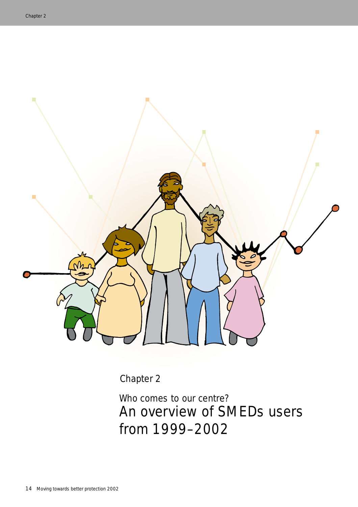

Chapter 2

Who comes to our centre? An overview of SMEDs users from 1999–2002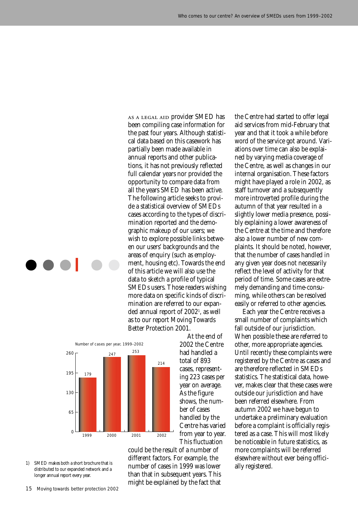AS A LEGAL AID provider SMED has been compiling case information for the past four years. Although statistical data based on this casework has partially been made available in annual reports and other publications, it has not previously reflected full calendar years nor provided the opportunity to compare data from all the years SMED has been active. The following article seeks to provide a statistical overview of SMEDs cases according to the types of discrimination reported and the demographic makeup of our users; we wish to explore possible links between our users' backgrounds and the areas of enquiry (such as employment, housing etc). Towards the end of this article we will also use the data to sketch a profile of typical SMEDs users. Those readers wishing more data on specific kinds of discrimination are referred to our expanded annual report of 20021 , as well as to our report Moving Towards Better Protection 2001.



distributed to our expanded network and a longer annual report every year.

At the end of 2002 the Centre had handled a total of 893 cases, representing 223 cases per year on average. As the figure shows, the number of cases handled by the Centre has varied from year to year. This fluctuation

could be the result of a number of different factors. For example, the 1) SMED makes both a short brochure that is<br>distributed to our expanded network and a<br>number of cases in 1999 was lower ally registered. than that in subsequent years. This might be explained by the fact that

the Centre had started to offer legal aid services from mid-February that year and that it took a while before word of the service got around. Variations over time can also be explained by varying media coverage of the Centre, as well as changes in our internal organisation. These factors might have played a role in 2002, as staff turnover and a subsequently more introverted profile during the autumn of that year resulted in a slightly lower media presence, possibly explaining a lower awareness of the Centre at the time and therefore also a lower number of new complaints. It should be noted, however, that the number of cases handled in any given year does not necessarily reflect the level of activity for that period of time. Some cases are extremely demanding and time-consuming, while others can be resolved easily or referred to other agencies.

Each year the Centre receives a small number of complaints which fall outside of our jurisdiction. When possible these are referred to other, more appropriate agencies. Until recently these complaints were registered by the Centre as cases and are therefore reflected in SMEDs statistics. The statistical data, however, makes clear that these cases were outside our jurisdiction and have been referred elsewhere. From autumn 2002 we have begun to undertake a preliminary evaluation before a complaint is officially registered as a case. This will most likely be noticeable in future statistics, as more complaints will be referred elsewhere without ever being offici-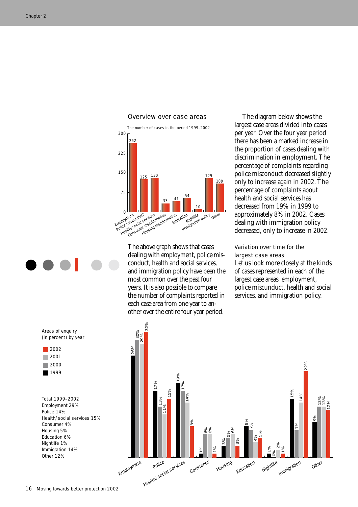

The above graph shows that cases dealing with employment, police misconduct, health and social services, and immigration policy have been the most common over the past four years. It is also possible to compare the number of complaints reported in each case area from one year to another over the entire four year period.

The diagram below shows the largest case areas divided into cases per year. Over the four year period there has been a marked increase in the proportion of cases dealing with discrimination in employment. The percentage of complaints regarding police misconduct decreased slightly only to increase again in 2002. The percentage of complaints about health and social services has decreased from 19% in 1999 to approximately 8% in 2002. Cases dealing with immigration policy decreased, only to increase in 2002.

#### *Variation over time for the largest case areas*

Let us look more closely at the kinds of cases represented in each of the largest case areas: employment, police miscunduct, health and social services, and immigration policy.



#### Areas of enquiry (in percent) by year



Total 1999–2002 Employment 29% Police 14% Health/social services 15% Consumer 4% Housing 5% Education 6% Nightlife 1% Immigration 14% Other 12%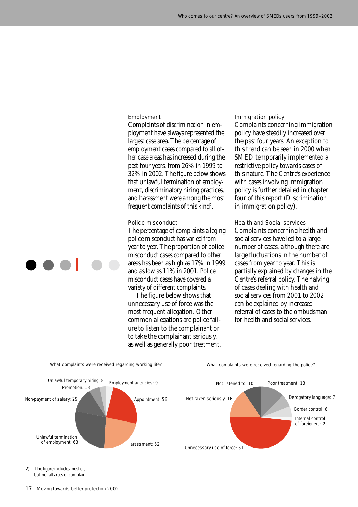#### *Employment*

Complaints of discrimination in employment have always represented the largest case area. The percentage of employment cases compared to all other case areas has increased during the past four years, from 26% in 1999 to 32% in 2002. The figure below shows that unlawful termination of employment, discriminatory hiring practices, and harassment were among the most frequent complaints of this  $\rm{kind^2}.$ 

#### *Police misconduct*

The percentage of complaints alleging police misconduct has varied from year to year. The proportion of police misconduct cases compared to other areas has been as high as 17% in 1999 and as low as 11% in 2001. Police misconduct cases have covered a variety of different complaints.

The figure below shows that unnecessary use of force was the most frequent allegation. Other common allegations are police failure to listen to the complainant or to take the complainant seriously, as well as generally poor treatment.

#### *Immigration policy*

Complaints concerning immigration policy have steadily increased over the past four years. An exception to this trend can be seen in 2000 when SMED temporarily implemented a restrictive policy towards cases of this nature. The Centre's experience with cases involving immigration policy is further detailed in chapter four of this report (Discrimination in immigration policy).

#### *Health and Social services*

Complaints concerning health and social services have led to a large number of cases, although there are large fluctuations in the number of cases from year to year. This is partially explained by changes in the Centre's referral policy. The halving of cases dealing with health and social services from 2001 to 2002 can be explained by increased referral of cases to the ombudsman for health and social services.



2) The figure includes most of, but not all areas of complaint.

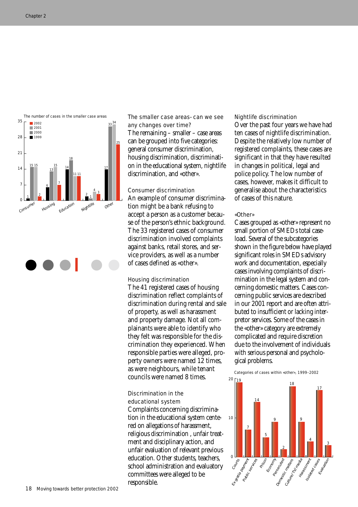

### *The smaller case areas- can we see any changes over time?* The remaining  $-$  smaller  $-$  case areas can be grouped into five categories: general consumer discrimination, housing discrimination, discrimination in the educational system, nightlife discrimination, and «other».

#### *Consumer discrimination*

An example of consumer discrimination might be a bank refusing to accept a person as a customer because of the person's ethnic background. The 33 registered cases of consumer discrimination involved complaints against banks, retail stores, and service providers, as well as a number of cases defined as «other».

#### *Housing discrimination*

The 41 registered cases of housing discrimination reflect complaints of discrimination during rental and sale of property, as well as harassment and property damage. Not all complainants were able to identify who they felt was responsible for the discrimination they experienced. When responsible parties were alleged, property owners were named 12 times, as were neighbours, while tenant councils were named 8 times.

### *Discrimination in the*

*educational system* Complaints concerning discrimination in the educational system centered on allegations of harassment, religious discrimination , unfair treatment and disciplinary action, and unfair evaluation of relevant previous education. Other students, teachers, school administration and evaluatory committees were alleged to be responsible.

#### *Nightlife discrimination*

Over the past four years we have had ten cases of nightlife discrimination. Despite the relatively low number of registered complaints, these cases are significant in that they have resulted in changes in political, legal and police policy. The low number of cases, however, makes it difficult to generalise about the characteristics of cases of this nature.

#### *«Other»*

Cases grouped as «other» represent no small portion of SMEDs total caseload. Several of the subcategories shown in the figure below have played significant roles in SMEDs advisory work and documentation, especially cases involving complaints of discrimination in the legal system and concerning domestic matters. Cases concerning public services are described in our 2001 report and are often attributed to insufficient or lacking interpretor services. Some of the cases in the «other» category are extremely complicated and require discretion due to the involvement of individuals with serious personal and psychological problems.

Categories of cases within «other», 1999–2002

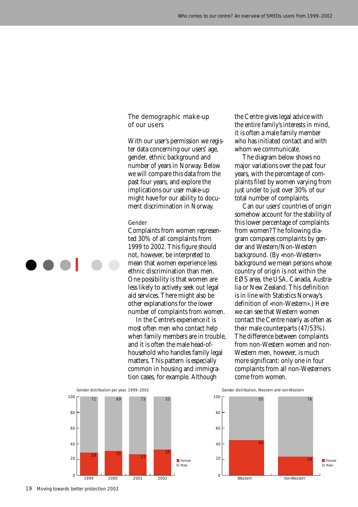#### The demographic make-up of our users

With our user's permission we register data concerning our users' age, gender, ethnic background and number of years in Norway. Below we will compare this data from the past four years, and explore the implications our user make-up might have for our ability to document discrimination in Norway.

#### *Gender*

Complaints from women represented 30% of all complaints from 1999 to 2002. This figure should not, however, be interpreted to mean that women experience less ethnic discrimination than men. One possibility is that women are less likely to actively seek out legal aid services. There might also be other explanations for the lower number of complaints from women.

In the Centre's experience it is most often men who contact help when family members are in trouble, and it is often the male head-ofhousehold who handles family legal matters. This pattern is especially common in housing and immigration cases, for example. Although

the Centre gives legal advice with the entire family's interests in mind, it is often a male family member who has initiated contact and with whom we communicate.

The diagram below shows no major variations over the past four years, with the percentage of complaints filed by women varying from just under to just over 30% of our total number of complaints.

Can our users' countries of origin somehow account for the stability of this lower percentage of complaints from women? The following diagram compares complaints by gender and Western/Non-Western background. (By «non-Western» background we mean persons whose country of origin is not within the EØS area, the USA, Canada, Australia or New Zealand. This definition is in line with Statistics Norway's definition of «non-Western».) Here we can see that Western women contact the Centre nearly as often as their male counterparts (47/53%). The difference between complaints from non-Western women and non-Western men, however, is much more significant: only one in four complaints from all non-Westerners come from women.



Gender distribution, Western and non-Western

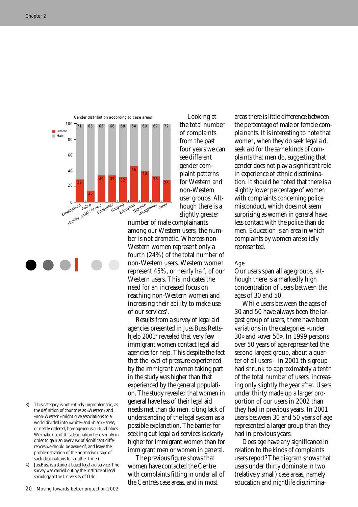

3) This category is not entirely unproblematic, as the definition of countries as «Western» and «non-Western» might give associations to a world divided into «white» and «black» areas, or neatly ordered, homogeneous cultural blocs. We make use of this designation here simply in order to gain an overview of significant differences we should be aware of, and leave the problematization of the normative usage of such designations for another time.)

JussBuss is a student based legal aid service. The survey was carried out by the Institute of legal sociology at the University of Oslo.

Looking at the total number of complaints from the past four years we can see different gender complaint patterns for Western and non-Western user groups. Although there is a slightly greater

number of male complainants among our Western users, the number is not dramatic. Whereas non-Western women represent only a fourth (24%) of the total number of non-Western users, Western women represent 45%, or nearly half, of our Western users. This indicates the need for an increased focus on reaching non-Western women and increasing their ability to make use of our services<sup>3</sup>.

Results from a survey of legal aid agencies presented in Juss Buss Rettshjelp 20014 revealed that very few immigrant women contact legal aid agencies for help. This despite the fact that the level of pressure experienced by the immigrant women taking part in the study was higher than that experienced by the general population. The study revealed that women in general have less of their legal aid needs met than do men, citing lack of understanding of the legal system as a possible explanation. The barrier for seeking out legal aid services is clearly higher for immigrant women than for immigrant men or women in general.

The previous figure shows that women have contacted the Centre with complaints fitting in under all of the Centre's case areas, and in most

areas there is little difference between the percentage of male or female complainants. It is interesting to note that women, when they do seek legal aid, seek aid for the same kinds of complaints that men do, suggesting that gender does not play a significant role in experience of ethnic discrimination. It should be noted that there is a slightly lower percentage of women with complaints concerning police misconduct, which does not seem surprising as women in general have less contact with the police than do men. Education is an area in which complaints by women are solidly represented.

#### *Age*

Our users span all age groups, although there is a markedly high concentration of users between the ages of 30 and 50.

While users between the ages of 30 and 50 have always been the largest group of users, there have been variations in the categories «under 30» and «over 50». In 1999 persons over 50 years of age represented the second largest group, about a quarter of all users – in 2001 this group had shrunk to approximately a tenth of the total number of users, increasing only slightly the year after. Users under thirty made up a larger proportion of our users in 2002 than they had in previous years. In 2001 users between 30 and 50 years of age represented a larger group than they had in previous years.

Does age have any significance in relation to the kinds of complaints users report? The diagram shows that users under thirty dominate in two (relatively small) case areas, namely education and nightlife discrimina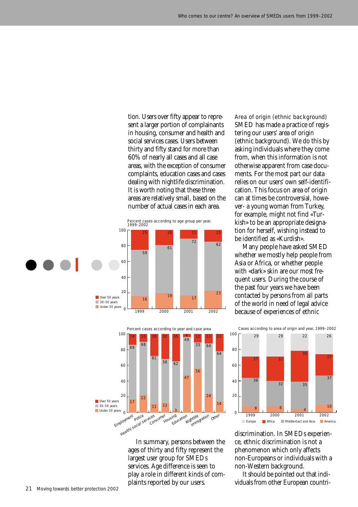tion. Users over fifty appear to represent a larger portion of complainants in housing, consumer and health and social services cases. Users between thirty and fifty stand for more than 60% of nearly all cases and all case areas, with the exception of consumer complaints, education cases and cases dealing with nightlife discrimination. It is worth noting that these three areas are relatively small, based on the number of actual cases in each area.



*Area of origin (ethnic background)* SMED has made a practice of registering our users' area of origin (ethnic background). We do this by asking individuals where they come from, when this information is not otherwise apparent from case documents. For the most part our data relies on our users' own self-identification. This focus on area of origin can at times be controversial, however- a young woman from Turkey, for example, might not find «Turkish» to be an appropriate designation for herself, wishing instead to be identified as «Kurdish».

Many people have asked SMED whether we mostly help people from Asia or Africa, or whether people with «dark» skin are our most frequent users. During the course of the past four years we have been contacted by persons from all parts of the world in need of legal advice because of experiences of ethnic



Cases according to area of origin and year, 1999–2002



discrimination. In SMEDs experience, ethnic discrimination is not a phenomenon which only affects non-Europeans or individuals with a non-Western background.

It should be pointed out that individuals from other European countri-



In summary, persons between the ages of thirty and fifty represent the largest user group for SMEDs services. Age difference is seen to play a role in different kinds of complaints reported by our users.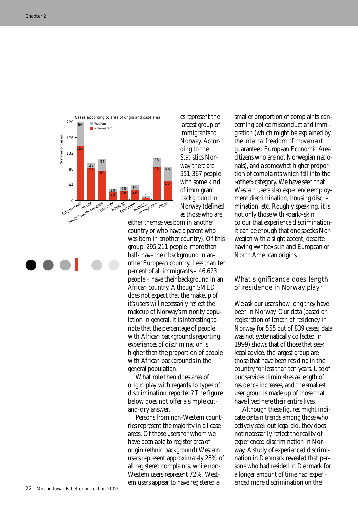

es represent the largest group of immigrants to Norway. According to the Statistics Norway there are 551,367 people with some kind of immigrant background in Norway (defined as those who are

either themselves born in another country or who have a parent who was born in another country). Of this group, 295,211 people- more than half- have their background in another European country. Less than ten percent of all immigrants – 46,623 people – have their background in an African country. Although SMED does not expect that the makeup of it's users will necessarily reflect the makeup of Norway's minority population in general, it is interesting to note that the percentage of people with African backgrounds reporting experiences of discrimination is higher than the proportion of people with African backgrounds in the general population.

What role then does area of origin play with regards to types of discrimination reported? The figure below does not offer a simple cutand-dry answer.

Persons from non-Western countries represent the majority in all case areas. Of those users for whom we have been able to register area of origin (ethnic background) Western users represent approximately 28% of all registered complaints, while non-Western users represent 72%. Western users appear to have registered a

smaller proportion of complaints concerning police misconduct and immigration (which might be explained by the internal freedom of movement guaranteed European Economic Area citizens who are not Norwegian nationals), and a somewhat higher proportion of complaints which fall into the «other» category. We have seen that Western users also experience employment discrimination, housing discrimination, etc. Roughly speaking, it is not only those with «dark» skin colour that experience discriminationit can be enough that one speaks Norwegian with a slight accent, despite having «white» skin and European or North American origins.

#### What significance does length of residence in Norway play?

We ask our users how long they have been in Norway. Our data (based on registration of length of residency in Norway for 555 out of 839 cases; data was not systematically collected in 1999) shows that of those that seek legal advice, the largest group are those that have been residing in the country for less than ten years. Use of our services diminishes as length of residence increases, and the smallest user group is made up of those that have lived here their entire lives.

Although these figures might indicate certain trends among those who actively seek out legal aid, they does not necessarily reflect the reality of experienced discrimination in Norway. A study of experienced discrimination in Denmark revealed that persons who had resided in Denmark for a longer amount of time had experienced more discrimination on the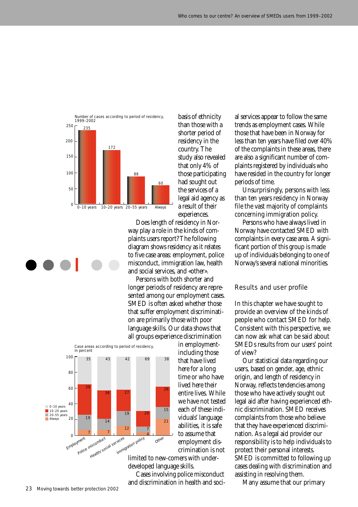

basis of ethnicity than those with a shorter period of residency in the country. The study also revealed that only 4% of those participating had sought out the services of a legal aid agency as a result of their experiences.

Does length of residency in Norway play a role in the kinds of complaints users report? The following diagram shows residency as it relates to five case areas: employment, police misconduct, immigration law, health and social services, and «other».

Persons with both shorter and longer periods of residency are represented among our employment cases. SMED is often asked whether those that suffer employment discrimination are primarily those with poor language skills. Our data shows that all groups experience discrimination

in employmentincluding those that have lived here for a long time or who have lived here their entire lives. While we have not tested each of these individuals' language abilities, it is safe to assume that employment discrimination is not

limited to new-comers with underdeveloped language skills.

Cases involving police misconduct and discrimination in health and social services appear to follow the same trends as employment cases. While those that have been in Norway for less than ten years have filed over 40% of the complaints in these areas, there are also a significant number of complaints registered by individuals who have resided in the country for longer periods of time.

Unsurprisingly, persons with less than ten years residency in Norway file the vast majority of complaints concerning immigration policy.

Persons who have always lived in Norway have contacted SMED with complaints in every case area. A significant portion of this group is made up of individuals belonging to one of Norway's several national minorities.

#### Results and user profile

In this chapter we have sought to provide an overview of the kinds of people who contact SMED for help. Consistent with this perspective, we can now ask what can be said about SMEDs results from our users' point of view?

Our statistical data regarding our users, based on gender, age, ethnic origin, and length of residency in Norway, reflects tendencies among those who have actively sought out legal aid after having experienced ethnic discrimination. SMED receives complaints from those who believe that they have experienced discrimination. As a legal aid provider our responsibility is to help individuals to protect their personal interests. SMED is committed to following up cases dealing with discrimination and assisting in resolving them.

Many assume that our primary



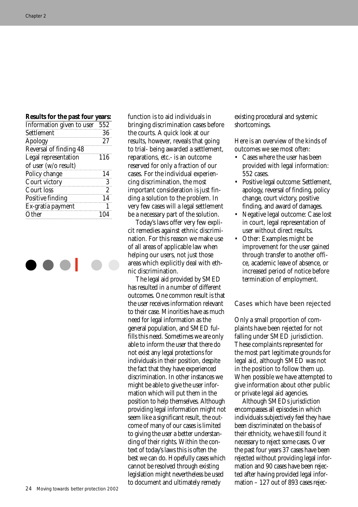|     |  |  | <b>Results for the past four years:</b> |
|-----|--|--|-----------------------------------------|
| - ^ |  |  |                                         |

| Information given to user | 552                          |
|---------------------------|------------------------------|
| Settlement                | 36                           |
| Apology                   | 27                           |
| Reversal of finding 48    |                              |
| Legal representation      | 116                          |
| of user (w/o result)      |                              |
| Policy change             | 14                           |
| Court victory             | $\left\lceil 3 \right\rceil$ |
| Court loss                | $\overline{2}$               |
| Positive finding          | 14                           |
| Ex-gratia payment         | $\mathbf{1}$                 |
| Other                     | 104                          |
|                           |                              |

function is to aid individuals in bringing discrimination cases before the courts. A quick look at our results, however, reveals that going to trial- being awarded a settlement, reparations, etc.- is an outcome reserved for only a fraction of our cases. For the individual experiencing discrimination, the most important consideration is just finding a solution to the problem. In very few cases will a legal settlement be a necessary part of the solution.

Today's laws offer very few explicit remedies against ethnic discrimination. For this reason we make use of all areas of applicable law when helping our users, not just those areas which explicitly deal with ethnic discrimination.

The legal aid provided by SMED has resulted in a number of different outcomes. One common result is that the user receives information relevant to their case. Minorities have as much need for legal information as the general population, and SMED fulfills this need. Sometimes we are only able to inform the user that there do not exist any legal protections for individuals in their position, despite the fact that they have experienced discrimination. In other instances we might be able to give the user information which will put them in the position to help themselves. Although providing legal information might not seem like a significant result, the outcome of many of our cases is limited to giving the user a better understanding of their rights. Within the context of today's laws this is often the best we can do. Hopefully cases which cannot be resolved through existing legislation might nevertheless be used

existing procedural and systemic shortcomings.

Here is an overview of the kinds of outcomes we see most often:

- Cases where the user has been provided with legal information: 552 cases.
- Positive legal outcome: Settlement, apology, reversal of finding, policy change, court victory, positive finding, and award of damages.
- Negative legal outcome: Case lost in court, legal representation of user without direct results.
- Other: Examples might be improvement for the user gained through transfer to another office, academic leave of absence, or increased period of notice before termination of employment.

#### Cases which have been rejected

Only a small proportion of complaints have been rejected for not falling under SMED jurisdiction. These complaints represented for the most part legitimate grounds for legal aid, although SMED was not in the position to follow them up. When possible we have attempted to give information about other public or private legal aid agencies.

to document and ultimately remedy mation – 127 out of 893 cases rejec- <sup>24</sup> Moving towards better protection 2002 Although SMEDs jurisdiction encompasses all episodes in which individuals subjectively feel they have been discriminated on the basis of their ethnicity, we have still found it necessary to reject some cases. Over the past four years 37 cases have been rejected without providing legal information and 90 cases have been rejected after having provided legal infor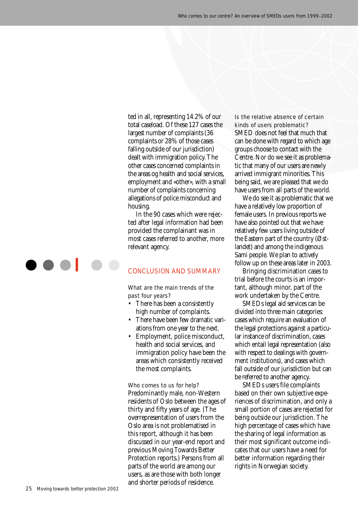ted in all, representing 14.2% of our total caseload. Of these 127 cases the largest number of complaints (36 complaints or 28% of those cases falling outside of our jurisdiction) dealt with immigration policy. The other cases concerned complaints in the areas og health and social services, employment and «other», with a small number of complaints concerning allegations of police misconduct and housing.

In the 90 cases which were rejected after legal information had been provided the complainant was in most cases referred to another, more relevant agency.

#### CONCLUSION AND SUMMARY

*What are the main trends of the past four years?*

- There has been a consistently high number of complaints.
- There have been few dramatic variations from one year to the next.
- Employment, police misconduct, health and social services, and immigration policy have been the areas which consistently received the most complaints.

*Who comes to us for help?* Predominantly male, non-Western residents of Oslo between the ages of thirty and fifty years of age. (The overrepresentation of users from the Oslo area is not problematised in this report, although it has been discussed in our year-end report and previous Moving Towards Better Protection reports.) Persons from all parts of the world are among our users, as are those with both longer and shorter periods of residence.

*Is the relative absence of certain kinds of users problematic?* SMED does not feel that much that can be done with regard to which age groups choose to contact with the Centre. Nor do we see it as problematic that many of our users are newly arrived immigrant minorities. This being said, we are pleased that we do have users from all parts of the world.

We do see it as problematic that we have a relatively low proportion of female users. In previous reports we have also pointed out that we have relatively few users living outside of the Eastern part of the country (Østlandet) and among the indigenous Sami people. We plan to actively follow up on these areas later in 2003.

Bringing discrimination cases to trial before the courts is an important, although minor, part of the work undertaken by the Centre.

SMEDs legal aid services can be divided into three main categories: cases which require an evaluation of the legal protections against a particular instance of discrimination, cases which entail legal representation (also with respect to dealings with government institutions), and cases which fall outside of our jurisdiction but can be referred to another agency.

SMEDs users file complaints based on their own subjective experiences of discrimination, and only a small portion of cases are rejected for being outside our jurisdiction. The high percentage of cases which have the sharing of legal information as their most significant outcome indicates that our users have a need for better information regarding their rights in Norwegian society.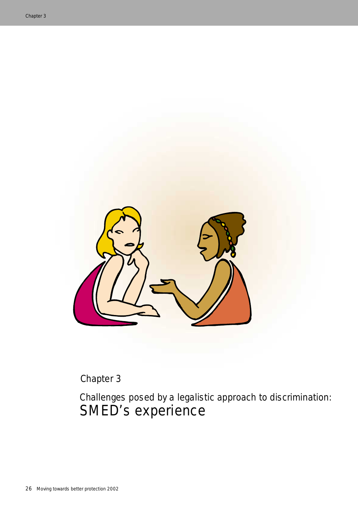

Chapter 3

Challenges posed by a legalistic approach to discrimination: SMED's experience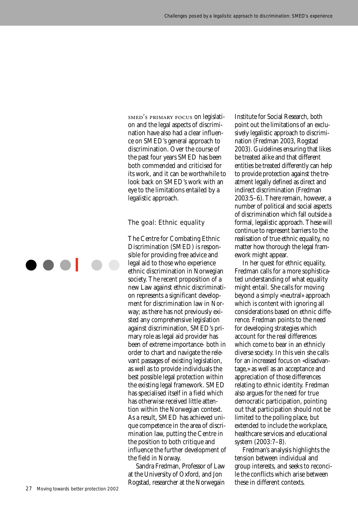SMED'S PRIMARY FOCUS ON legislation and the legal aspects of discrimination have also had a clear influence on SMED's general approach to discrimination. Over the course of the past four years SMED has been both commended and criticised for its work, and it can be worthwhile to look back on SMED's work with an eye to the limitations entailed by a legalistic approach.

#### The goal: Ethnic equality

The Centre for Combating Ethnic Discrimination (SMED) is responsible for providing free advice and legal aid to those who experience ethnic discrimination in Norwegian society. The recent proposition of a new Law against ethnic discrimination represents a significant development for discrimination law in Norway; as there has not previously existed any comprehensive legislation against discrimination, SMED's primary role as legal aid provider has been of extreme importance- both in order to chart and navigate the relevant passages of existing legislation, as well as to provide individuals the best possible legal protection within the existing legal framework. SMED has specialised itself in a field which has otherwise received little attention within the Norwegian context. As a result, SMED has achieved unique competence in the area of discrimination law, putting the Centre in the position to both critique and influence the further development of the field in Norway.

Sandra Fredman, Professor of Law at the University of Oxford, and Jon Rogstad, researcher at the Norwegain Institute for Social Research, both point out the limitations of an exclusively legalistic approach to discrimination (Fredman 2003, Rogstad 2003). Guidelines ensuring that likes be treated alike and that different entities be treated differently can help to provide protection against the treatment legally defined as direct and indirect discrimination (Fredman 2003:5–6). There remain, however, a number of political and social aspects of discrimination which fall outside a formal, legalistic approach. These will continue to represent barriers to the realisation of true ethnic equality, no matter how thorough the legal framework might appear.

In her quest for ethnic equality, Fredman calls for a more sophisticated understanding of what equality might entail. She calls for moving beyond a simply «neutral» approach which is content with ignoring all considerations based on ethnic difference. Fredman points to the need for developing strategies which account for the real differences which come to bear in an ethnicly diverse society. In this vein she calls for an increased focus on «disadvantage,» as well as an acceptance and appreciation of those differences relating to ethnic identity. Fredman also argues for the need for true democratic participation, pointing out that participation should not be limited to the polling place, but extended to include the workplace, healthcare services and educational system (2003:7–8).

Fredman's analysis highlights the tension between individual and group interests, and seeks to reconcile the conflicts which arise between these in different contexts.

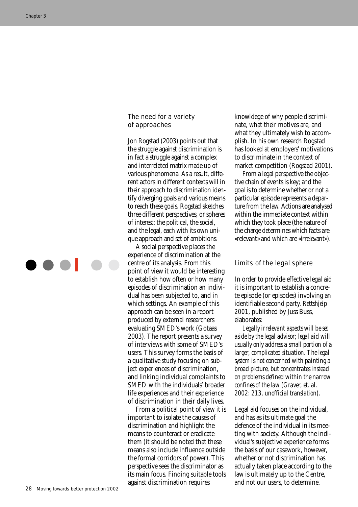#### The need for a variety of approaches

Jon Rogstad (2003) points out that the struggle against discrimination is in fact a struggle against a complex and interrelated matrix made up of various phenomena. As a result, different actors in different contexts will in their approach to discrimination identify diverging goals and various means to reach these goals. Rogstad sketches three different perspectives, or spheres of interest: the political, the social, and the legal, each with its own unique approach and set of ambitions.

A social perspective places the experience of discrimination at the centre of its analysis. From this point of view it would be interesting to establish how often or how many episodes of discrimination an individual has been subjected to, and in which settings. An example of this approach can be seen in a report produced by external researchers evaluating SMED's work (Gotaas 2003). The report presents a survey of interviews with some of SMED's users. This survey forms the basis of a qualitative study focusing on subject experiences of discrimination, and linking individual complaints to SMED with the individuals' broader life experiences and their experience of discrimination in their daily lives.

From a political point of view it is important to isolate the causes of discrimination and highlight the means to counteract or eradicate them (it should be noted that these means also include influence outside the formal corridors of power). This perspective sees the discriminator as its main focus. Finding suitable tools against discrimination requires

knowldege of why people discriminate, what their motives are, and what they ultimately wish to accomplish. In his own research Rogstad has looked at employers' motivations to discriminate in the context of market competition (Rogstad 2001).

From a legal perspective the objective chain of events is key; and the goal is to determine whether or not a particular episode represents a departure from the law. Actions are analysed within the immediate context within which they took place (the nature of the charge determines which facts are «relevant» and which are «irrelevant»).

#### Limits of the legal sphere

In order to provide effective legal aid it is important to establish a concrete episode (or episodes) involving an identifiable second party. *Rettshjelp 2001*, published by Juss Buss, elaborates:

*Legally irrelevant aspects will be set aside by the legal advisor; legal aid will usually only address a small portion of a larger, complicated situation. The legal system is not concerned with painting a broad picture, but concentrates instead on problems defined within the narrow confines of the law (Graver, et. al. 2002: 213, unofficial translation).*

Legal aid focuses on the individual, and has as its ultimate goal the defence of the individual in its meeting with society. Although the individual's subjective experience forms the basis of our casework, however, whether or not discrimination has actually taken place according to the law is ultimately up to the Centre, and not our users, to determine.

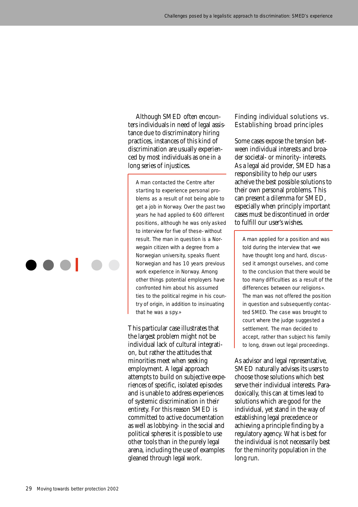Although SMED often encounters individuals in need of legal assistance due to discriminatory hiring practices, instances of this kind of discrimination are usually experienced by most individuals as one in a long series of injustices.

A man contacted the Centre after starting to experience personal problems as a result of not being able to get a job in Norway. Over the past two years he had applied to 600 different positions, although he was only asked to interview for five of these- without result. The man in question is a Norwegain citizen with a degree from a Norwegian university, speaks fluent Norwegian and has 10 years previous work experience in Norway. Among other things potential employers have confronted him about his assumed ties to the political regime in his country of origin, in addition to insinuating that he was a spy.»

This particular case illustrates that the largest problem might not be individual lack of cultural integration, but rather the attitudes that minorities meet when seeking employment. A legal approach attempts to build on subjective experiences of specific, isolated episodes and is unable to address experiences of systemic discrimination in their entirety. For this reason SMED is committed to active documentation as well as lobbying- in the social and political spheres it is possible to use other tools than in the purely legal arena, including the use of examples gleaned through legal work.

### Finding individual solutions vs. Establishing broad principles

Some cases expose the tension between individual interests and broader societal- or minority- interests. As a legal aid provider, SMED has a responsibility to help our users acheive the best possible solutions to their own personal problems. This can present a dilemma for SMED, especially when principly important cases must be discontinued in order to fulfill our user's wishes.

A man applied for a position and was told during the interview that «we have thought long and hard, discussed it amongst ourselves, and come to the conclusion that there would be too many difficulties as a result of the differences between our religions». The man was not offered the position in question and subsequently contacted SMED. The case was brought to court where the judge suggested a settlement. The man decided to accept, rather than subject his family to long, drawn out legal proceedings.

As advisor and legal representative, SMED naturally advises its users to choose those solutions which best serve their individual interests. Paradoxically, this can at times lead to solutions which are good for the individual, yet stand in the way of establishing legal precedence or achieving a principle finding by a regulatory agency. What is best for the individual is not necessarily best for the minority population in the long run.

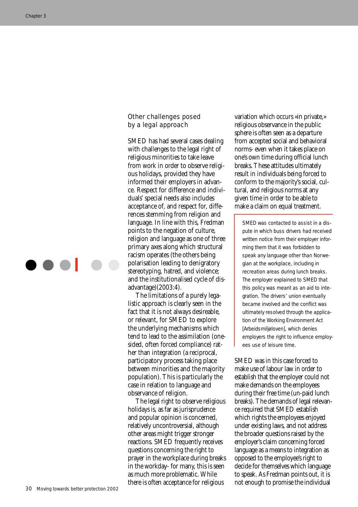#### Other challenges posed by a legal approach

SMED has had several cases dealing with challenges to the legal right of religious minorities to take leave from work in order to observe religious holidays, provided they have informed their employers in advance. Respect for difference and individuals' special needs also includes acceptance of, and respect for, differences stemming from religion and language. In line with this, Fredman points to the negation of culture, religion and language as one of three primary axes along which structural racism operates (the others being polarisation leading to denigratory stereotyping, hatred, and violence; and the institutionalised cycle of disadvantage)(2003:4).

The limitations of a purely legalistic approach is clearly seen in the fact that it is not always desireable, or relevant, for SMED to explore the underlying mechanisms which tend to lead to the assimilation (onesided, often forced compliance) rather than integration (a reciprocal, participatory process taking place between minorities and the majority population). This is particularly the case in relation to language and observance of religion.

The legal right to observe religious holidays is, as far as jurisprudence and popular opinion is concerned, relatively uncontroversial, although other areas might trigger stronger reactions. SMED frequently receives questions concerning the right to prayer in the workplace during breaks in the workday- for many, this is seen as much more problematic. While there is often acceptance for religious and enough to promise the individual<br>30 Moving towards better protection 2002

variation which occurs «in private,» religious observance in the public sphere is often seen as a departure from accepted social and behavioral norms- even when it takes place on one's own time during official lunch breaks. These attitudes ultimately result in individuals being forced to conform to the majority's social, cultural, and religious norms at any given time in order to be able to make a claim on equal treatment.

SMED was contacted to assist in a dispute in which buss drivers had received written notice from their employer informing them that it was forbidden to speak any language other than Norwegian at the workplace, including in recreation areas during lunch breaks. The employer explained to SMED that this policy was meant as an aid to integration. The drivers' union eventually became involved and the conflict was ultimately resolved through the application of the Working Environment Act [Arbeidsmiljøloven], which denies employers the right to influence employees use of leisure time.

SMED was in this case forced to make use of labour law in order to establish that the employer could not make demands on the employees during their free time (un-paid lunch breaks). The demands of legal relevance required that SMED establish which rights the employees enjoyed under existing laws, and not address the broader questions raised by the employer's claim concerning forced language as a means to integration as opposed to the employee's right to decide for themselves which language to speak. As Fredman points out, it is

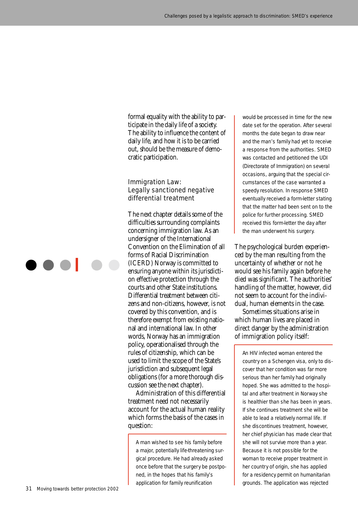formal equality with the ability to participate in the daily life of a society. The ability to influence the content of daily life, and how it is to be carried out, should be the measure of democratic participation.

### Immigration Law: Legally sanctioned negative differential treatment

The next chapter details some of the difficulties surrounding complaints concerning immigration law. As an undersigner of the International Convention on the Elimination of all forms of Racial Discrimination (ICERD) Norway is committed to ensuring anyone within its jurisdiction effective protection through the courts and other State institutions. Differential treatment between citizens and non-citizens, however, is not covered by this convention, and is therefore exempt from existing national and international law. In other words, Norway has an immigration policy, operationalised through the rules of citizenship, which can be used to limit the scope of the State's jurisdiction and subsequent legal obligations (for a more thorough discussion see the next chapter).

Administration of this differential treatment need not necessarily account for the actual human reality which forms the basis of the cases in question:

A man wished to see his family before a major, potentially life-threatening surgical procedure. He had already asked once before that the surgery be postponed, in the hopes that his family's application for family reunification

would be processed in time for the new date set for the operation. After several months the date began to draw near and the man's family had yet to receive a response from the authorities. SMED was contacted and petitioned the UDI (Directorate of Immigration) on several occasions, arguing that the special circumstances of the case warranted a speedy resolution. In response SMED eventually received a form-letter stating that the matter had been sent on to the police for further processing. SMED received this form-letter the day after the man underwent his surgery.

The psychological burden experienced by the man resulting from the uncertainty of whether or not he would see his family again before he died was significant. The authorities' handling of the matter, however, did not seem to account for the individual, human elements in the case.

Sometimes situations arise in which human lives are placed in direct danger by the administration of immigration policy itself:

An HIV infected woman entered the country on a Schengen visa, only to discover that her condition was far more serious than her family had originally hoped. She was admitted to the hospital and after treatment in Norway she is healthier than she has been in years. If she continues treatment she will be able to lead a relatively normal life. If she discontinues treatment, however, her chief physician has made clear that she will not survive more than a year. Because it is not possible for the woman to receive proper treatment in her country of origin, she has applied for a residency permit on humanitarian grounds. The application was rejected

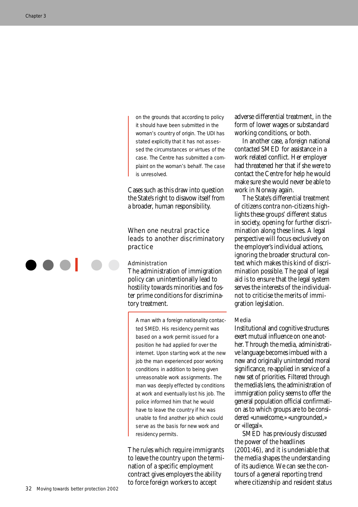on the grounds that according to policy it should have been submitted in the woman's country of origin. The UDI has stated explicitly that it has not assessed the circumstances or virtues of the case. The Centre has submitted a complaint on the woman's behalf. The case is unresolved.

Cases such as this draw into question the State's right to disavow itself from a broader, human responsibility.

#### When one neutral practice leads to another discriminatory practice

#### *Administration*

The administration of immigration policy can unintentionally lead to hostility towards minorities and foster prime conditions for discriminatory treatment.

A man with a foreign nationality contacted SMED. His residency permit was based on a work permit issued for a position he had applied for over the internet. Upon starting work at the new job the man experienced poor working conditions in addition to being given unreasonable work assignments. The man was deeply effected by conditions at work and eventually lost his job. The police informed him that he would have to leave the country if he was unable to find another job which could serve as the basis for new work and residency permits.

The rules which require immigrants to leave the country upon the termination of a specific employment contract gives employers the ability to force foreign workers to accept to force foreign workers to accept where citizenship and resident status<br>32 Moving towards better protection 2002

adverse differential treatment, in the form of lower wages or substandard working conditions, or both.

In another case, a foreign national contacted SMED for assistance in a work related conflict. Her employer had threatened her that if she were to contact the Centre for help he would make sure she would never be able to work in Norway again.

The State's differential treatment of citizens contra non-citizens highlights these groups' different status in society, opening for further discrimination along these lines. A legal perspective will focus exclusively on the employer's individual actions, ignoring the broader structural context which makes this kind of discrimination possible. The goal of legal aid is to ensure that the legal system serves the interests of the individualnot to criticise the merits of immigration legislation.

#### *Media*

Institutional and cognitive structures exert mutual influence on one another. Through the media, administrative language becomes imbued with a new and originally unintended moral significance, re-applied in service of a new set of priorities. Filtered through the media's lens, the administration of immigration policy seems to offer the general population official confirmation as to which groups are to be considered «unwelcome,» «ungrounded,» or «illegal».

SMED has previously discussed the power of the headlines (2001:46), and it is undeniable that the media shapes the understanding of its audience. We can see the contours of a general reporting trend

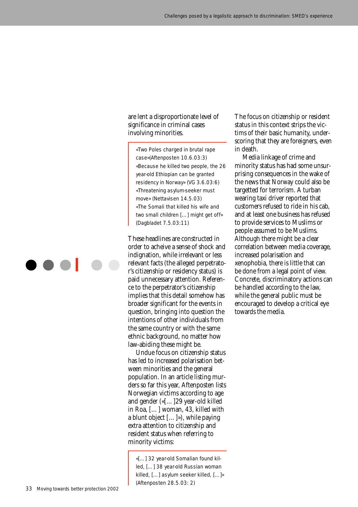#### are lent a disproportionate level of significance in criminal cases involving minorities.

«Two Poles charged in brutal rape case»(Aftenposten 10.6.03:3) «Because he killed two people, the 26 year-old Ethiopian can be granted residency in Norway» (VG 3.6.03:6) «Threatening asylum-seeker must move» (Nettavisen 14.5.03) «The Somali that killed his wife and two small children […] might get off» (Dagbladet 7.5.03:11)

These headlines are constructed in order to acheive a sense of shock and indignation, while irrelevant or less relevant facts (the alleged perpetrator's citizenship or residency status) is paid unnecessary attention. Reference to the perpetrator's citizenship implies that this detail somehow has broader significant for the events in question, bringing into question the intentions of other individuals from the same country or with the same ethnic background, no matter how law-abiding these might be.

Undue focus on citizenship status has led to increased polarisation between minorities and the general population. In an article listing murders so far this year, Aftenposten lists Norwegian victims according to age and gender («[…]29 year-old killed in Roa, […] woman, 43, killed with a blunt object […]»), while paying extra attention to citizenship and resident status when referring to minority victims:

«[…] 32 year-old Somalian found killed, […] 38 year-old Russian woman killed, […] asylum seeker killed, […]» (Aftenposten 28.5.03: 2)

The focus on citizenship or resident status in this context strips the victims of their basic humanity, underscoring that they are foreigners, even in death.

Media linkage of crime and minority status has had some unsurprising consequences in the wake of the news that Norway could also be targetted for terrorism. A turban wearing taxi driver reported that customers refused to ride in his cab, and at least one business has refused to provide services to Muslims or people assumed to be Muslims. Although there might be a clear correlation between media coverage, increased polarisation and xenophobia, there is little that can be done from a legal point of view. Concrete, discriminatory actions can be handled according to the law, while the general public must be encouraged to develop a critical eye towards the media.

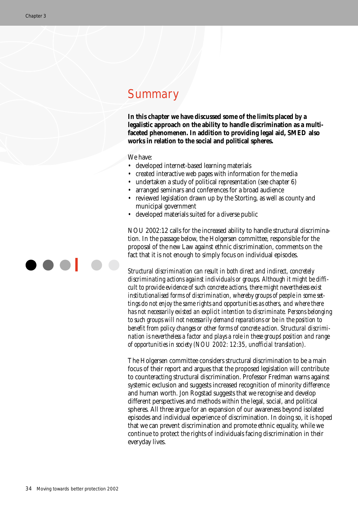### **Summary**

**In this chapter we have discussed some of the limits placed by a legalistic approach on the ability to handle discrimination as a multifaceted phenomenen. In addition to providing legal aid, SMED also works in relation to the social and political spheres.** 

We have:

- developed internet-based learning materials
- created interactive web pages with information for the media
- undertaken a study of political representation (see chapter 6)
- arranged seminars and conferences for a broad audience
- reviewed legislation drawn up by the Storting, as well as county and municipal government
- developed materials suited for a diverse public

NOU 2002:12 calls for the increased ability to handle structural discrimination. In the passage below, the Holgersen committee, responsible for the proposal of the new Law against ethnic discrimination, comments on the fact that it is not enough to simply focus on individual episodes.

*Structural discrimination can result in both direct and indirect, concretely discriminating actions against individuals or groups. Although it might be difficult to provide evidence of such concrete actions, there might nevertheless exist institutionalised forms of discrimination, whereby groups of people in some settings do not enjoy the same rights and opportunities as others, and where there has not necessarily existed an explicit intention to discriminate. Persons belonging to such groups will not necessarily demand reparations or be in the position to benefit from policy changes or other forms of concrete action. Structural discrimination is nevertheless a factor and plays a role in these groups' position and range of opportunities in society (NOU 2002: 12:35, unofficial translation).*

The Holgersen committee considers structural discrimination to be a main focus of their report and argues that the proposed legislation will contribute to counteracting structural discrimination. Professor Fredman warns against systemic exclusion and suggests increased recognition of minority difference and human worth. Jon Rogstad suggests that we recognise and develop different perspectives and methods within the legal, social, and political spheres. All three argue for an expansion of our awareness beyond isolated episodes and individual experience of discrimination. In doing so, it is hoped that we can prevent discrimination and promote ethnic equality, while we continue to protect the rights of individuals facing discrimination in their everyday lives.

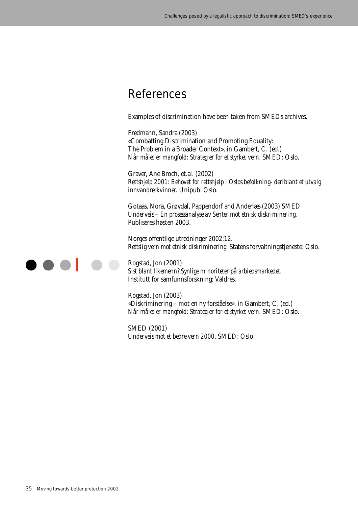### References

Examples of discrimination have been taken from SMEDs archives.

Fredmann, Sandra (2003) «Combatting Discrimination and Promoting Equality: The Problem in a Broader Context», in Gambert, C. (ed.) *Når målet er mangfold: Strategier for et styrket vern.* SMED: Oslo.

Graver, Ane Broch, et.al. (2002) *Rettshjelp 2001: Behovet for rettshjelp i Oslos befolkning- deriblant et utvalg innvandrerkvinner.* Unipub: Oslo.

Gotaas, Nora, Grøvdal, Pappendorf and Andenæs (2003) SMED *Underveis – En prosessanalyse av Senter mot etnisk diskriminering.* Publiseres høsten 2003.

Norges offentlige utredninger 2002:12. *Rettslig vern mot etnisk diskriminering.* Statens forvaltningstjeneste: Oslo.



Rogstad, Jon (2001) *Sist blant likemenn? Synlige minoriteter på arbiedsmarkedet.*  Institutt for samfunnsforskning: Valdres.

Rogstad, Jon (2003) «Diskriminering – mot en ny forståelse», in Gambert, C. (ed.) *Når målet er mangfold: Strategier for et styrket vern*. SMED: Oslo.

SMED (2001) *Underveis mot et bedre vern 2000*. SMED: Oslo.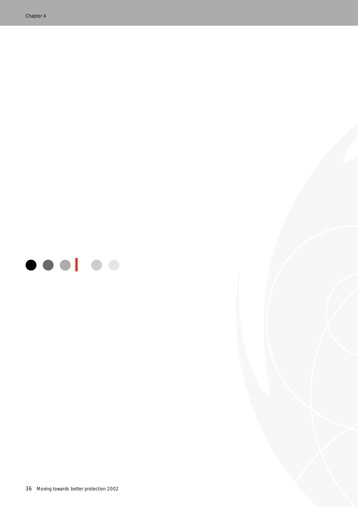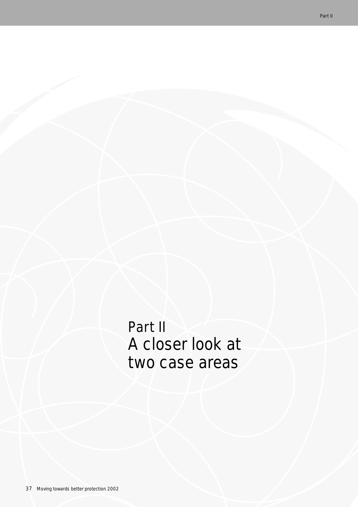Part II A closer look at two case areas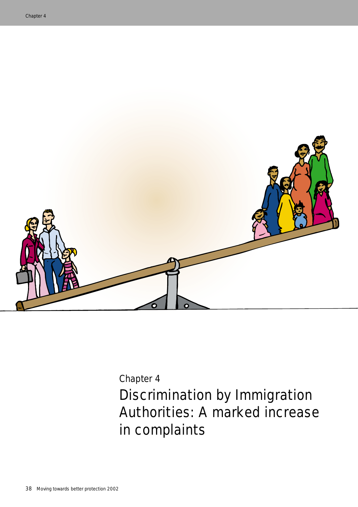

# Chapter 4 Discrimination by Immigration Authorities: A marked increase in complaints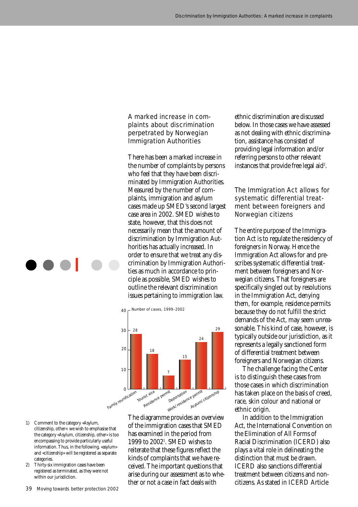#### A marked increase in complaints about discrimination perpetrated by Norwegian Immigration Authorities

There has been a marked increase in the number of complaints by persons who feel that they have been discriminated by Immigration Authorities. Measured by the number of complaints, immigration and asylum cases made up SMED's second largest case area in 2002. SMED wishes to state, however, that this does not necessarily mean that the amount of discrimination by Immigration Authorities has actually increased. In order to ensure that we treat any discrimination by Immigration Authorities as much in accordance to principle as possible, SMED wishes to outline the relevant discrimination issues pertaining to immigration law.



- 1) Comment to the category «Asylum, citizenship, other»: we wish to emphasise that the category «Asylum, citizenship, other» is too encompassing to provide particularly useful information. Thus, in the following, «asylum» and «citizenship» will be registered as separate categories.
- 2) Thirty-six immigration cases have been registered as terminated, as they were not within our jurisdiction.

The diagramme provides an overview of the immigration cases that SMED has examined in the period from 1999 to  $2002^{\text{T}}$ . SMED wishes to reiterate that these figures reflect the kinds of complaints that we have received. The important questions that arise during our assessment as to whether or not a case in fact deals with

ethnic discrimination are discussed below. In those cases we have assessed as not dealing with ethnic discrimination, assistance has consisted of providing legal information and/or referring persons to other relevant instances that provide free legal aid $^{\rm 2}.$ 

#### The Immigration Act allows for systematic differential treatment between foreigners and Norwegian citizens

The entire purpose of the Immigration Act is to regulate the residency of foreigners in Norway. Hence the Immigration Act allows for and prescribes systematic differential treatment between foreigners and Norwegian citizens. That foreigners are specifically singled out by resolutions in the Immigration Act, denying them, for example, residence permits because they do not fulfill the strict demands of the Act, may seem unreasonable. This kind of case, however, is typically outside our jurisdiction, as it represents a legally sanctioned form of differential treatment between foreigners and Norwegian citizens.

The challenge facing the Center is to distinguish these cases from those cases in which discrimination has taken place on the basis of creed, race, skin colour and national or ethnic origin.

In addition to the Immigration Act, the International Convention on the Elimination of All Forms of Racial Discrimination (ICERD) also plays a vital role in delineating the distinction that must be drawn. ICERD also sanctions differential treatment between citizens and noncitizens. As stated in ICERD Article

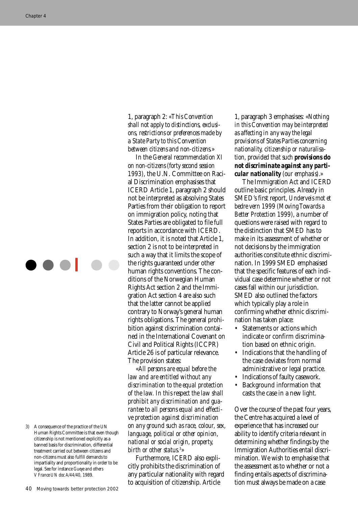

1, paragraph 2: *«This Convention shall not apply to distinctions, exclusi-*

*on non-citizens (forty second session 1993)*, the U.N. Committee on Racial Discrimination emphasises that ICERD Article 1, paragraph 2 should not be interpreted as absolving States Parties from their obligation to report on immigration policy, noting that States Parties are obligated to file full reports in accordance with ICERD. In addition, it is noted that Article 1, section 2 is not to be interpreted in such a way that it limits the scope of the rights guaranteed under other human rights conventions. The conditions of the Norwegian Human Rights Act section 2 and the Immigration Act section 4 are also such that the latter cannot be applied contrary to Norway's general human rights obligations. The general prohibition against discrimination contained in the International Covenant on Civil and Political Rights (ICCPR) Article 26 is of particular relevance. The provision states:

*«All persons are equal before the law and are entitled without any discrimination to the equal protection of the law. In this respect the law shall prohibit any discrimination and guarantee to all persons equal and effective protection against discrimination on any ground such as race, colour, sex, language, political or other opinion, national or social origin, property, birth or other status.*<sup>3</sup> *»*

Furthermore, ICERD also explicitly prohibits the discrimination of any particular nationality with regard to acquisition of citizenship. Article

1, paragraph 3 emphasises: *«Nothing in this Convention may be interpreted as affecting in any way the legal provisions of States Parties concerning nationality, citizenship or naturalisation, provided that such provisions do not discriminate against any particular nationality (our emphasis).»*

The Immigration Act and ICERD outline basic principles. Already in SMED's first report, *Underveis mot et bedre vern 1999 (Moving Towards a Better Protection 1999)*, a number of questions were raised with regard to the distinction that SMED has to make in its assessment of whether or not decisions by the immigration authorities constitute ethnic discrimination. In 1999 SMED emphasised that the specific features of each individual case determine whether or not cases fall within our jurisdiction. SMED also outlined the factors which typically play a role in confirming whether ethnic discrimination has taken place:

- Statements or actions which indicate or confirm discrimination based on ethnic origin.
- Indications that the handling of the case deviates from normal administrative or legal practice.
- Indications of faulty casework.
- Background information that casts the case in a new light.

Over the course of the past four years, the Centre has acquired a level of experience that has increased our ability to identify criteria relevant in determining whether findings by the Immigration Authorities entail discrimination. We wish to emphasise that the assessment as to whether or not a finding entails aspects of discrimination must always be made on a case



3) A consequence of the practice of the UN Human Rights Committee is that even though citizenship is not mentioned explicitly as a banned basis for discrimination, differential treatment carried out between citizens and non-citizens must also fulfill demands to impartiality and proportionality in order to be legal. See for instance *Gueye and others V France UN doc A/44/40,* 1989.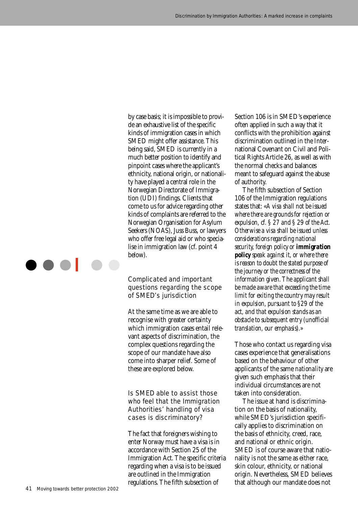by case basis; it is impossible to provide an exhaustive list of the specific kinds of immigration cases in which SMED might offer assistance. This being said, SMED is currently in a much better position to identify and pinpoint cases where the applicant's ethnicity, national origin, or nationality have played a central role in the Norwegian Directorate of Immigration (UDI) findings. Clients that come to us for advice regarding other kinds of complaints are referred to the Norwegian Organisation for Asylum Seekers (NOAS), Juss Buss, or lawyers who offer free legal aid or who specialise in immigration law (cf. point 4 below).

#### Complicated and important questions regarding the scope of SMED's jurisdiction

At the same time as we are able to recognise with greater certainty which immigration cases entail relevant aspects of discrimination, the complex questions regarding the scope of our mandate have also come into sharper relief. Some of these are explored below.

### Is SMED able to assist those who feel that the Immigration Authorities' handling of visa cases is discriminatory?

The fact that foreigners wishing to enter Norway must have a visa is in accordance with Section 25 of the Immigration Act. The specific criteria regarding when a visa is to be issued are outlined in the Immigration regulations. The fifth subsection of

Section 106 is in SMED's experience often applied in such a way that it conflicts with the prohibition against discrimination outlined in the International Covenant on Civil and Political Rights Article 26, as well as with the normal checks and balances meant to safeguard against the abuse of authority.

The fifth subsection of Section 106 of the Immigration regulations states that: *«A visa shall not be issued where there are grounds for rejection or expulsion, cf. § 27 and § 29 of the Act. Otherwise a visa shall be issued unless considerations regarding national security, foreign policy or immigration policy speak against it, or where there is reason to doubt the stated purpose of the journey or the correctness of the information given. The applicant shall be made aware that exceeding the time limit for exiting the country may result in expulsion, pursuant to §29 of the act, and that expulsion stands as an obstacle to subsequent entry (unofficial translation, our emphasis).»*

Those who contact us regarding visa cases experience that generalisations based on the behaviour of other applicants of the same *nationality* are given such emphasis that their individual circumstances are not taken into consideration.

The issue at hand is discrimination on the basis of nationality, while SMED's jurisdiction specifically applies to discrimination on the basis of ethnicity, creed, race, and national or ethnic origin. SMED is of course aware that nationality is not the same as either race, skin colour, ethnicity, or national origin. Nevertheless, SMED believes that although our mandate does not<br>41 Moving towards better protection 2002

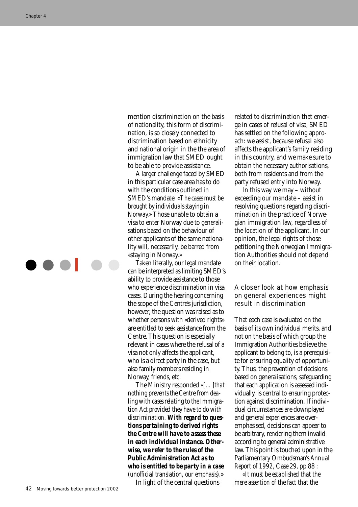mention discrimination on the basis of nationality, this form of discrimination, is so closely connected to discrimination based on ethnicity and national origin in the the area of immigration law that SMED ought to be able to provide assistance.

A larger challenge faced by SMED in this particular case area has to do with the conditions outlined in SMED's mandate: *«The cases must be brought by individuals staying in Norway.»* Those unable to obtain a visa to enter Norway due to generalisations based on the behaviour of other applicants of the same nationality will, necessarily, be barred from «staying in Norway.»

Taken literally, our legal mandate can be interpreted as limiting SMED's ability to provide assistance to those who experience discrimination in visa cases. During the hearing concerning the scope of the Centre's jurisdiction, however, the question was raised as to whether persons with «derived rights» are entitled to seek assistance from the Centre. This question is especially relevant in cases where the refusal of a visa not only affects the applicant, who is a direct party in the case, but also family members residing in Norway, friends, etc.

The Ministry responded *«[…]that nothing prevents the Centre from dealing with cases relating to the Immigration Act provided they have to do with discrimination. With regard to questions pertaining to derived rights the Centre will have to assess these in each individual instance. Otherwise, we refer to the rules of the Public Administration Act as to who is entitled to be party in a case (unofficial translation, our emphasis).»* 

In light of the central questions

related to discrimination that emerge in cases of refusal of visa, SMED has settled on the following approach: we assist, because refusal also affects the applicant's family residing in this country, and we make sure to obtain the necessary authorisations, both from residents and from the party refused entry into Norway.

In this way we may – without exceeding our mandate – assist in resolving questions regarding discrimination in the practice of Norwegian immigration law, regardless of the location of the applicant. In our opinion, the legal rights of those petitioning the Norwegian Immigration Authorities should not depend on their location.

#### A closer look at how emphasis on general experiences might result in discrimination

That each case is evaluated on the basis of its own individual merits, and not on the basis of which group the Immigration Authorities believe the applicant to belong to, is a prerequisite for ensuring equality of opportunity. Thus, the prevention of decisions based on generalisations, safeguarding that each application is assessed individually, is central to ensuring protection against discrimination. If individual circumstances are downplayed and general experiences are overemphasised, decisions can appear to be arbitrary, rendering them invalid according to general administrative law. This point is touched upon in the Parliamentary Ombudsman's *Annual Report of 1992*, Case 29, pp 88 : *«It must be established that the*

*mere assertion of the fact that the*

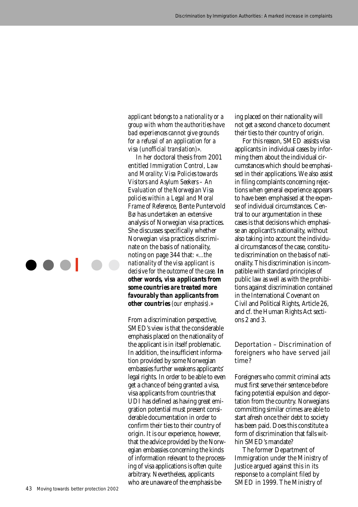*applicant belongs to a nationality or a group with whom the authorities have bad experiences cannot give grounds for a refusal of an application for a visa (unofficial translation)».* 

In her doctoral thesis from 2001 entitled *Immigration Control, Law and Morality: Visa Policies towards Visitors and Asylum Seekers – An Evaluation of the Norwegian Visa policies within a Legal and Moral Frame of Reference,* Bente Puntervold Bø has undertaken an extensive analysis of Norwegian visa practices. She discusses specifically whether Norwegian visa practices discriminate on the basis of nationality, noting on page 344 that: *«...the nationality of the visa applicant is decisive for the outcome of the case. In other words, visa applicants from some countries are treated more favourably than applicants from other countries (our emphasis).»* 

From a discrimination perspective, SMED's view is that the considerable emphasis placed on the nationality of the applicant is in itself problematic. In addition, the insufficient information provided by some Norwegian embassies further weakens applicants' legal rights. In order to be able to even get a chance of being granted a visa, visa applicants from countries that UDI has defined as having great emigration potential must present considerable documentation in order to confirm their ties to their country of origin. It is our experience, however, that the advice provided by the Norwegian embassies concerning the kinds of information relevant to the processing of visa applications is often quite arbitrary. Nevertheless, applicants

ing placed on their nationality will not get a second chance to document their ties to their country of origin.

For this reason, SMED assists visa applicants in individual cases by informing them about the individual circumstances which should be emphasised in their applications. We also assist in filing complaints concerning rejections when general experience appears to have been emphasised at the expense of individual circumstances. Central to our argumentation in these cases is that decisions which emphasise an applicant's nationality, without also taking into account the individual circumstances of the case, constitute discrimination on the basis of nationality. This discrimination is incompatible with standard principles of public law as well as with the prohibitions against discrimination contained in the International Covenant on Civil and Political Rights, Article 26, and cf. the Human Rights Act sections 2 and 3.

#### Deportation – Discrimination of foreigners who have served jail time?

Foreigners who commit criminal acts must first serve their sentence before facing potential expulsion and deportation from the country. Norwegians committing similar crimes are able to start afresh once their debt to society has been paid. Does this constitute a form of discrimination that falls within SMED's mandate?

who are unaware of the emphasis be-<br>43 Moving towards better protection 2002 The former Department of Immigration under the Ministry of Justice argued against this in its response to a complaint filed by

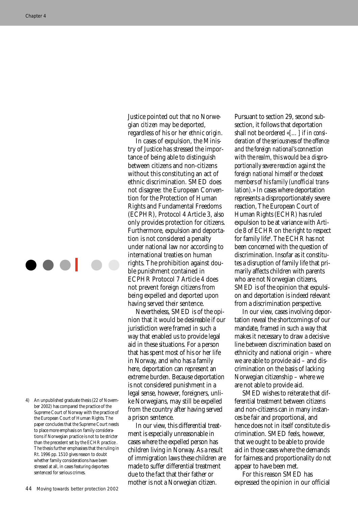Justice pointed out that no Norwegian *citizen* may be deported, regardless of his or her *ethnic origin*.

In cases of expulsion, the Ministry of Justice has stressed the importance of being able to distinguish between citizens and non-citizens without this constituting an act of ethnic discrimination. SMED does not disagree: the European Convention for the Protection of Human Rights and Fundamental Freedoms (ECPHR), Protocol 4 Article 3, also only provides protection for citizens. Furthermore, expulsion and deportation is not considered a penalty under national law nor according to international treaties on human rights. The prohibition against double punishment contained in ECPHR Protocol 7 Article 4 does not prevent foreign citizens from being expelled and deported upon having served their sentence.

Nevertheless, SMED is of the opinion that it would be desireable if our jurisdiction were framed in such a way that enabled us to provide legal aid in these situations. For a person that has spent most of his or her life in Norway, and who has a family here, deportation can represent an extreme burden. Because deportation is not considered punishment in a legal sense, however, foreigners, unlike Norwegians, may still be expelled from the country after having served a prison sentence.

In our view, this differential treatment is especially unreasonable in cases where the expelled person has children living in Norway. As a result of immigration laws these children are made to suffer differential treatment due to the fact that their father or mother is not a Norwegian citizen.

Pursuant to section 29, second subsection, it follows that deportation shall not be ordered *«[…] if in consideration of the seriousness of the offence and the foreign national's connection with the realm, this would be a disproportionally severe reaction against the foreign national himself or the closest members of his family (unofficial translation).»* In cases where deportation represents a disproportionately severe reaction, The European Court of Human Rights (ECHR) has ruled expulsion to be at variance with Article 8 of ECHR on the right to respect for family life4 . The ECHR has not been concerned with the question of discrimination. Insofar as it constitutes a disruption of family life that primarily affects children with parents who are not Norwegian citizens, SMED is of the opinion that expulsion and deportation is indeed relevant from a discrimination perspective.

In our view, cases involving deportation reveal the shortcomings of our mandate, framed in such a way that makes it necessary to draw a decisive line between discrimination based on ethnicity and national origin – where we are able to provide aid – and discrimination on the basis of lacking Norwegian citizenship – where we are not able to provide aid.

SMED wishes to reiterate that differential treatment between citizens and non-citizens can in many instances be fair and proportional, and hence does not in itself constitute discrimination. SMED feels, however, that we ought to be able to provide aid in those cases where the demands for fairness and proportionality *do not* appear to have been met.

For this reason SMED has expressed the opinion in our official



4) An unpublished graduate thesis (22 of November 2002) has compared the practice of the Supreme Court of Norway with the practice of the European Court of Human Rights. The paper concludes that the Supreme Court needs to place more emphasis on family considerations if Norwegian practice is not to be stricter than the precedent set by the ECHR practice . The thesis further emphasises that the ruling in Rt. 1996 pp. 1510 gives reason to doubt whether family considerations have been stressed at all, in cases featuring deportees sentenced for serious crimes.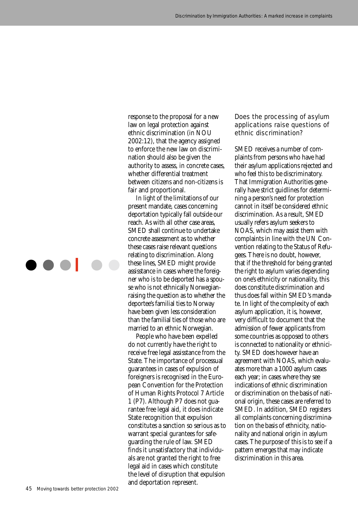response to the proposal for a new law on legal protection against ethnic discrimination (in NOU 2002:12), that the agency assigned to enforce the new law on discrimination should also be given the authority to assess, in concrete cases, whether differential treatment between citizens and non-citizens is fair and proportional.

In light of the limitations of our present mandate, cases concerning deportation typically fall outside our reach. As with all other case areas, SMED shall continue to undertake concrete assessment as to whether these cases raise relevant questions relating to discrimination. Along these lines, SMED might provide assisstance in cases where the foreigner who is to be deported has a spouse who is not ethnically Norwegianraising the question as to whether the deportee's familial ties to Norway have been given less consideration than the familial ties of those who are married to an ethnic Norwegian.

People who have been expelled do not currently have the right to receive free legal assisstance from the State. The importance of processual guarantees in cases of expulsion of foreigners is recognised in the European Convention for the Protection of Human Rights Protocol 7 Article 1 (P7). Although P7 does not guarantee free legal aid, it does indicate State recognition that expulsion constitutes a sanction so serious as to warrant special gurantees for safeguarding the rule of law. SMED finds it unsatisfactory that individuals are not granted the right to free legal aid in cases which constitute the level of disruption that expulsion and deportation represent.

#### Does the processing of asylum applications raise questions of ethnic discrimination?

SMED receives a number of complaints from persons who have had their asylum applications rejected and who feel this to be discriminatory. That Immigration Authorities generally have strict guidlines for determining a person's need for protection cannot in itself be considered ethnic discrimination. As a result, SMED usually refers asylum seekers to NOAS, which may assist them with complaints in line with the UN Convention relating to the Status of Refugees. There is no doubt, however, that if the threshold for being granted the right to asylum varies depending on one's ethnicity or nationality, this does constitute discrimination and thus does fall within SMED's mandate. In light of the complexity of each asylum application, it is, however, very difficult to document that the admission of fewer applicants from some countries as opposed to others is connected to nationality or ethnicity. SMED does however have an agreement with NOAS, which evaluates more than a 1000 asylum cases each year; in cases where they see indications of ethnic discrimination or discrimination on the basis of national origin, these cases are referred to SMED. In addition, SMED registers all complaints concerning discrimination on the basis of ethnicity, nationality and national origin in asylum cases. The purpose of this is to see if a pattern emerges that may indicate discrimination in this area.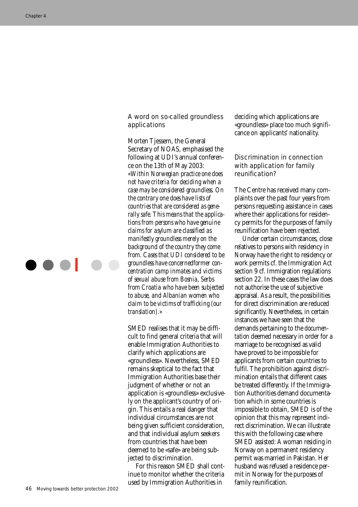#### A word on so-called groundless applications

Morten Tjessem, the General Secretary of NOAS, emphasised the following at UDI's annual conference on the 13th of May 2003: *«Within Norwegian practice one does not have criteria for deciding when a case may be considered groundless. On the contrary one does have lists of countries that are considered as generally safe. This means that the applications from persons who have genuine claims for asylum are classified as manifestly groundless merely on the background of the country they come from. Cases that UDI considered to be groundless have concernedformer concentration camp inmates and victims of sexual abuse from Bosnia, Serbs from Croatia who have been subjected to abuse, and Albanian women who claim to be victims of trafficking (our translation).»*

SMED realises that it may be difficult to find general criteria that will enable Immigration Authorities to clarify which applications are «groundless». Nevertheless, SMED remains skeptical to the fact that Immigration Authorities base their judgment of whether or not an application is «groundless» exclusively on the applicant's country of origin. This entails a real danger that individual circumstances are not being given sufficient consideration, and that individual asylum seekers from countries that have been deemed to be «safe» are being subjected to discrimination.

For this reason SMED shall continue to monitor whether the criteria used by Immigration Authorities in family reunification.<br>46 Moving towards better protection 2002

deciding which applications are «groundless» place too much significance on applicants' nationality.

#### Discrimination in connection with application for family reunification?

The Centre has received many complaints over the past four years from persons requesting assistance in cases where their applications for residency permits for the purposes of family reunification have been rejected.

Under certain circumstances, close relatives to persons with residency in Norway have the right to residency or work permits cf. the Immigration Act section 9 cf. Immigration regulations section 22. In these cases the law does not authorise the use of subjective appraisal. As a result, the possibilities for direct discrimination are reduced significantly. Nevertheless, in certain instances we have seen that the demands pertaining to the *documentation* deemed necessary in order for a marriage to be recognised as valid have proved to be impossible for applicants from certain countries to fulfil. The prohibition against discrimination entails that different cases be treated differently. If the Immigration Authorities demand documentation which in some countries is impossible to obtain, SMED is of the opinion that this may represent indirect discrimination. We can illustrate this with the following case where SMED assisted: A woman residing in Norway on a permanent residency permit was married in Pakistan. Her husband was refused a residence permit in Norway for the purposes of

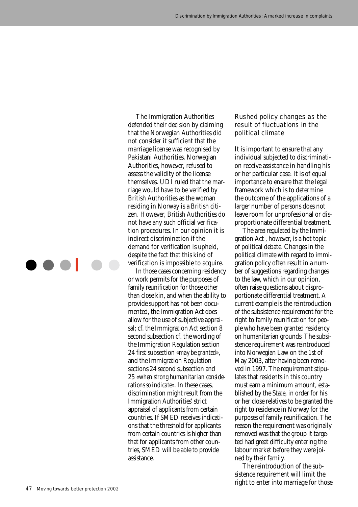The Immigration Authorities defended their decision by claiming that the Norwegian Authorities did not consider it sufficient that the marriage license was recognised by Pakistani Authorities. Norwegian Authorities, however, refused to assess the validity of the license themselves. UDI ruled that the marriage would have to be verified by British Authorities as the woman residing in Norway is a British citizen. However, British Authorities do not have any such official verification procedures. In our opinion it is indirect discrimination if the demand for verification is upheld, despite the fact that this kind of verification is impossible to acquire.

In those cases concerning residency or work permits for the purposes of family reunification for those other than close kin, and when the ability to provide support has not been documented, the Immigration Act does allow for the use of subjective appraisal; cf. the Immigration Act section 8 second subsection cf. the wording of the Immigration Regulation section 24 first subsection *«may be granted»*, and the Immigration Regulation sections 24 second subsection and 25 *«when strong humanitarian considerations so indicate»*. In these cases, discrimination might result from the Immigration Authorities' strict appraisal of applicants from certain countries. If SMED receives indications that the threshold for applicants from certain countries is higher than that for applicants from other countries, SMED will be able to provide assistance.

#### Rushed policy changes as the result of fluctuations in the political climate

It is important to ensure that any individual subjected to discrimination receive assistance in handling his or her particular case. It is of equal importance to ensure that the legal framework which is to determine the outcome of the applications of a larger number of persons does not leave room for unprofessional or disproportionate differential treatment.

The area regulated by the Immigration Act , however, is a hot topic of political debate. Changes in the political climate with regard to immigration policy often result in a number of suggestions regarding changes to the law, which in our opinion, often raise questions about disproportionate differential treatment. A current example is the reintroduction of the subsistence requirement for the right to family reunification for people who have been granted residency on humanitarian grounds. The subsistence requirement was reintroduced into Norwegian Law on the 1st of May 2003, after having been removed in 1997. The requirement stipulates that residents in this country must earn a minimum amount, established by the State, in order for his or her close relatives to be granted the right to residence in Norway for the purposes of family reunification. The reason the requirement was originally removed was that the group it targeted had great difficulty entering the labour market before they were joined by their family.

The reintroduction of the subsistence requirement will limit the right to enter into marriage for those <sup>47</sup> Moving towards better protection 2002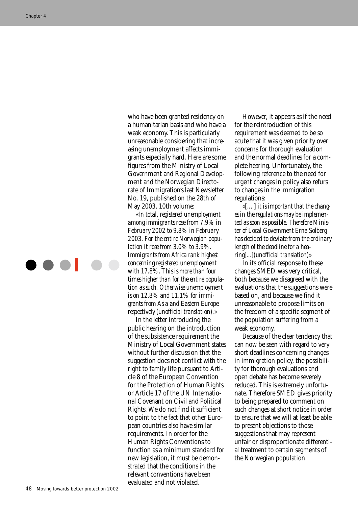who have been granted residency on a humanitarian basis and who have a weak economy. This is particularly unreasonable considering that increasing unemployment affects immigrants especially hard. Here are some figures from the Ministry of Local Government and Regional Development and the Norwegian Directorate of Immigration's last Newsletter No. 19, published on the 28th of May 2003, 10th volume:

*«In total, registered unemployment among immigrants rose from 7.9% in February 2002 to 9.8% in February 2003. For the entire Norwegian population it rose from 3.0% to 3.9%. Immigrants from Africa rank highest concerning registered unemployment with 17.8%. This is more than four times higher than for the entire population as such. Otherwise unemployment is on 12.8% and 11.1% for immigrants from Asia and Eastern Europe respectively (unofficial translation).»*

In the letter introducing the public hearing on the introduction of the subsistence requirement the Ministry of Local Government states without further discussion that the suggestion does not conflict with the right to family life pursuant to Article 8 of the European Convention for the Protection of Human Rights or Article 17 of the UN International Covenant on Civil and Political Rights. We do not find it sufficient to point to the fact that other European countries also have similar requirements. In order for the Human Rights Conventions to function as a minimum standard for new legislation, it must be demonstrated that the conditions in the relevant conventions have been evaluated and not violated.

However, it appears as if the need for the reintroduction of this requirement was deemed to be so acute that it was given priority over concerns for thorough evaluation and the normal deadlines for a complete hearing. Unfortunately, the following reference to the need for urgent changes in policy also refurs to changes in the immigration regulations:

*«[…] it is important that the changes in the regulations may be implemented as soon as possible. Therefore Minister of Local Government Erna Solberg has decided to deviate from the ordinary length of the deadline for a hearing[...](unofficial translation)»*

In its official response to these changes SMED was very critical, both because we disagreed with the evaluations that the suggestions were based on, and because we find it unreasonable to propose limits on the freedom of a specific segment of the population suffering from a weak economy.

Because of the clear tendency that can now be seen with regard to very short deadlines concerning changes in immigration policy, the possibility for thorough evaluations and open debate has become severely reduced. This is extremely unfortunate. Therefore SMED gives priority to being prepared to comment on such changes at short notice in order to ensure that we will at least be able to present objections to those suggestions that may represent unfair or disproportionate differential treatment to certain segments of the Norwegian population.

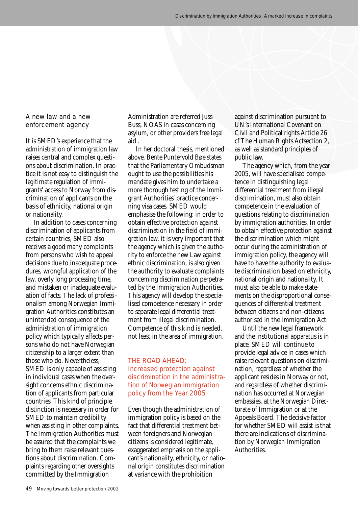#### A new law and a new enforcement agency

It is SMED's experience that the administration of immigration law raises central and complex questions about discrimination. In practice it is not easy to distinguish the legitimate regulation of immigrants' access to Norway from discrimination of applicants on the basis of ethnicity, national origin or nationality.

In addition to cases concerning discrimination of applicants from certain countries, SMED also receives a good many complaints from persons who wish to appeal decisions due to inadequate procedures, wrongful application of the law, overly long processing time, and mistaken or inadequate evaluation of facts. The lack of professionalism among Norwegian Immigration Authorities constitutes an unintended consequence of the administration of immigration policy which typically affects persons who do not have Norwegian citizenship to a larger extent than those who do. Nevertheless, SMED is only capable of assisting in individual cases when the oversight concerns ethnic discrimination of applicants from particular countries. This kind of principle distinction is necessary in order for SMED to maintain credibility when assisting in other complaints. The Immigration Authorities must be assured that the complaints we bring to them raise relevant questions about discrimination. Complaints regarding other oversights committed by the Immigration

Administration are referred Juss Buss, NOAS in cases concerning asylum, or other providers free legal aid .

In her doctoral thesis, mentioned above, Bente Puntervold Bøe states that the Parliamentary Ombudsman ought to use the possibilities his mandate gives him to undertake a more thorough testing of the Immigrant Authorities' practice concerning visa cases. SMED would emphasise the following: in order to obtain effective protection against discrimination in the field of immigration law, it is very important that the agency which is given the authority to enforce the new Law against ethnic discrimination, is also given the authority to evaluate complaints concerning discrimination perpetrated by the Immigration Authorities. This agency will develop the specialised competence necessary in order to separate legal differential treatment from illegal discrimination. Competence of this kind is needed, not least in the area of immigration.

#### THE ROAD AHEAD: Increased protection against discrimination in the administration of Norwegian immigration policy from the Year 2005

Even though the administration of immigration policy is based on the fact that differential treatment between foreigners and Norwegian citizens is considered legitimate, exaggerated emphasis on the applicant's nationality, ethnicity, or national origin constitutes discrimination at variance with the prohibition

against discrimination pursuant to UN's International Covenant on Civil and Political rights Article 26 cf The Human Rights Actsection 2, as well as standard principles of public law.

The agency which, from the year 2005, will have specialised competence in distinguishing legal differential treatment from illegal discrimination, must also obtain competence in the evaluation of questions relating to discrimination by immigration authorities. In order to obtain effective protection against the discrimination which might occur during the administration of immigration policy, the agency will have to have the authority to evaluate discrimination based on ethnicity, national origin and nationality. It must also be able to make statements on the disproportional consequences of differential treatment between citizens and non-citizens authorised in the Immigration Act.

Until the new legal framework and the institutional apparatus is in place, SMED will continue to provide legal advice in cases which raise relevant questions on discrimination, regardless of whether the applicant resides in Norway or not, and regardless of whether discrimination has occurred at Norwegian embassies, at the Norwegian Directorate of Immigration or at the Appeals Board. The decisive factor for whether SMED will assist is that there are indications of discrimination by Norwegian Immigration Authorities.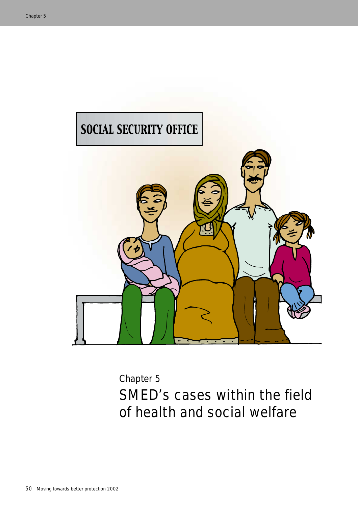

# Chapter 5 SMED's cases within the field of health and social welfare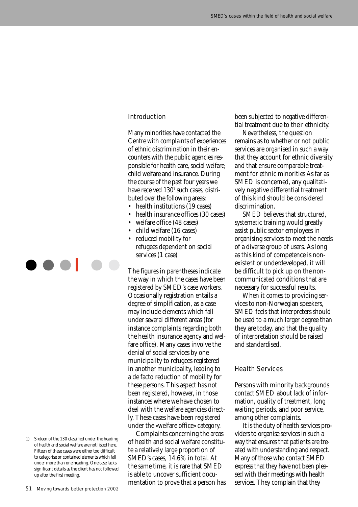#### Introduction

Many minorities have contacted the Centre with complaints of experiences of ethnic discrimination in their encounters with the public agencies responsible for health care, social welfare, child welfare and insurance. During the course of the past four years we have received  $130<sup>1</sup>$  such cases, distributed over the following areas:

- health institutions (19 cases)
- health insurance offices (30 cases)
- welfare office (48 cases)
- child welfare (16 cases)
- reduced mobility for refugees dependent on social services (1 case)

The figures in parentheses indicate the way in which the cases have been registered by SMED's case workers. Occasionally registration entails a degree of simplification, as a case may include elements which fall under several different areas (for instance complaints regarding both the health insurance agency and welfare office). Many cases involve the denial of social services by one municipality to refugees registered in another municipality, leading to a de facto reduction of mobility for these persons. This aspect has not been registered, however, in those instances where we have chosen to deal with the welfare agencies directly. These cases have been registered under the «welfare office» category.

Complaints concerning the areas of health and social welfare constitute a relatively large proportion of SMED's cases, 14.6% in total. At the same time, it is rare that SMED is able to uncover sufficient documentation to prove that a person has been subjected to negative differential treatment due to their ethnicity.

Nevertheless, the question remains as to whether or not public services are organised in such a way that they account for ethnic diversity and that ensure comparable treatment for ethnic minorities As far as SMED is concerned, any qualitatively negative differential treatment of this kind should be considered discrimination.

SMED believes that structured, systematic training would greatly assist public sector employees in organising services to meet the needs of a diverse group of users. As long as this kind of competence is nonexistent or underdeveloped, it will be difficult to pick up on the noncommunicated conditions that are necessary for successful results.

When it comes to providing services to non-Norwegian speakers, SMED feels that interpreters should be used to a much larger degree than they are today, and that the quality of interpretation should be raised and standardised.

#### Health Services

Persons with minority backgrounds contact SMED about lack of information, quality of treatment, long waiting periods, and poor service, among other complaints.

It is the duty of health services providers to organise services in such a way that ensures that patients are treated with understanding and respect. Many of those who contact SMED express that they have not been pleased with their meetings with health services. They complain that they



1) Sixteen of the 130 classified under the heading of health and social welfare are not listed here. Fifteen of these cases were either too difficult to categorise or contained elements which fall under more than one heading. One case lacks significant details as the client has not followed up after the first meeting.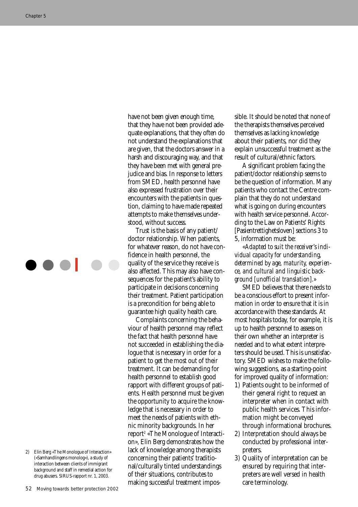have not been given enough time, that they have not been provided adequate explanations, that they often do not understand the explanations that are given, that the doctors answer in a harsh and discouraging way, and that they have been met with general prejudice and bias. In response to letters from SMED, health personnel have also expressed frustration over their encounters with the patients in question, claiming to have made repeated attempts to make themselves understood, without success.

Trust is the basis of any patient/ doctor relationship. When patients, for whatever reason, do not have confidence in health personnel, the quality of the service they receive is also affected. This may also have consequences for the patient's ability to participate in decisions concerning their treatment. Patient participation is a precondition for being able to guarantee high quality health care.

Complaints concerning the behaviour of health personnel may reflect the fact that health personnel have not succeeded in establishing the dialogue that is necessary in order for a patient to get the most out of their treatment. It can be demanding for health personnel to establish good rapport with different groups of patients. Health personnel must be given the opportunity to acquire the knowledge that is necessary in order to meet the needs of patients with ethnic minority backgrounds. In her report<sup>2</sup> «The Monologue of Interaction», Elin Berg demonstrates how the lack of knowledge among therapists concerning their patients' traditional/culturally tinted understandings of their situations, contributes to making successful treatment impossible. It should be noted that none of the therapists themselves perceived themselves as lacking knowledge about their patients, nor did they explain unsuccessful treatment as the result of cultural/ethnic factors.

A significant problem facing the patient/doctor relationship seems to be the question of information. Many patients who contact the Centre complain that they do not understand what is going on during encounters with health service personnel. According to the Law on Patients' Rights [Pasientrettighetsloven] sections 3 to 5, information must be:

*«Adapted to suit the receiver's individual capacity for understanding, determined by age, maturity, experience, and cultural and linguistic background [unofficial translation].»*

SMED believes that there needs to be a conscious effort to present information in order to ensure that it is in accordance with these standards. At most hospitals today, for example, it is up to health personnel to assess on their own whether an interpreter is needed and to what extent interpreters should be used. This is unsatisfactory. SMED wishes to make the following suggestions, as a starting-point for improved quality of information:

- 1) Patients ought to be informed of their general right to request an interpreter when in contact with public health services. This information might be conveyed through informational brochures.
- 2) Interpretation should always be conducted by professional interpreters.
- 3) Quality of interpretation can be ensured by requiring that interpreters are well versed in health care terminology.

2) Elin Berg «The Monologue of Interaction» («Samhandlingens monolog»), a study of interaction between clients of immigrant background and staff in remedial action for drug abusers. SIRUS-rapport nr. 1, 2003.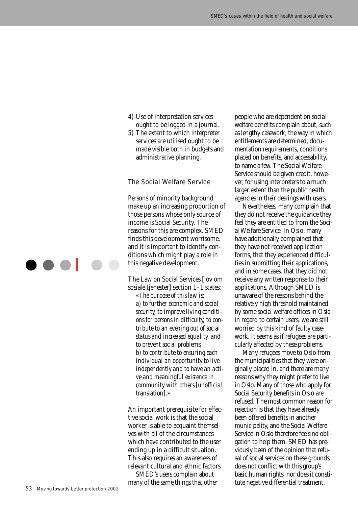- 4) Use of interpretation services ought to be logged in a journal.
- 5) The extent to which interpreter services are utilised ought to be made visible both in budgets and administrative planning.

#### The Social Welfare Service

Persons of minority background make up an increasing proportion of those persons whose only source of income is Social Security. The reasons for this are complex. SMED finds this development worrisome, and it is important to identify conditions which might play a role in this negative development.

The Law on Social Services [lov om sosiale tjenester] section 1–1 states:

*«The purpose of this law is: a) to further economic and social security, to improve living conditions for persons in difficulty, to contribute to an evening out of social status and increased equality, and to prevent social problems; b) to contribute to ensuring each individual an opportunity to live independently and to have an active and meaningful existence in community with others [unofficial translation].»* 

An important prerequisite for effective social work is that the social worker is able to acquaint themselves with all of the circumstances which have contributed to the user ending up in a difficult situation. This also requires an awareness of relevant cultural and ethnic factors.

SMED's users complain about many of the same things that other tute negative differential treatment.<br>53 Moving towards better protection 2002

people who are dependent on social welfare benefits complain about, such as lengthy casework, the way in which entitlements are determined, documentation requirements, conditions placed on benefits, and accessability, to name a few. The Social Welfare Service should be given credit, however, for using interpreters to a much larger extent than the public health agencies in their dealings with users.

Nevertheless, many complain that they do not receive the guidance they feel they are entitled to from the Social Welfare Service. In Oslo, many have additionally complained that they have not received application forms, that they experienced difficulties in submitting their applications, and in some cases, that they did not receive any written response to their applications. Although SMED is unaware of the reasons behind the relatively high threshold maintained by some social welfare offices in Oslo in regard to certain users, we are still worried by this kind of faulty casework. It seems as if refugees are particularly affected by these problems.

Many refugees move to Oslo from the municipalities that they were originally placed in, and there are many reasons why they might prefer to live in Oslo. Many of those who apply for Social Security benefits in Oslo are refused. The most common reason for rejection is that they have already been offered benefits in another municipality, and the Social Welfare Service in Oslo therefore feels no obligation to help them. SMED has previously been of the opinion that refusal of social services on these grounds does not conflict with this group's basic human rights, nor does it consti-

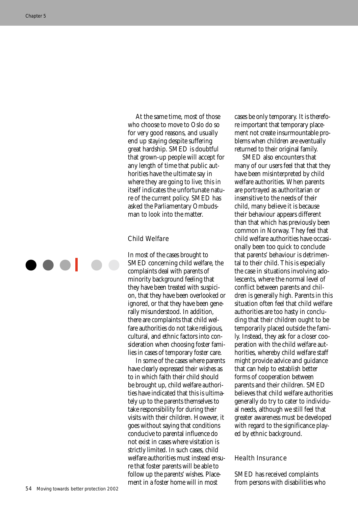At the same time, most of those who choose to move to Oslo do so for very good reasons, and usually end up staying despite suffering great hardship. SMED is doubtful that grown-up people will accept for any length of time that public authorities have the ultimate say in where they are going to live; this in itself indicates the unfortunate nature of the current policy. SMED has asked the Parliamentary Ombudsman to look into the matter.

#### Child Welfare

In most of the cases brought to SMED concerning child welfare, the complaints deal with parents of minority background feeling that they have been treated with suspicion, that they have been overlooked or ignored, or that they have been generally misunderstood. In addition, there are complaints that child welfare authorities do not take religious, cultural, and ethnic factors into consideration when choosing foster families in cases of temporary foster care.

In some of the cases where parents have clearly expressed their wishes as to in which faith their child should be brought up, child welfare authorities have indicated that this is ultimately up to the parents themselves to take responsibility for during their visits with their children. However, it goes without saying that conditions conducive to parental influence do not exist in cases where visitation is strictly limited. In such cases, child welfare authorities must instead ensure that foster parents will be able to follow up the parents' wishes. Placement in a foster home will in most **from persons with disabilities who**<br>54 Moving towards better protection 2002

cases be only temporary. It is therefore important that temporary placement not create insurmountable problems when children are eventually returned to their original family.

SMED also encounters that many of our users feel that that they have been misinterpreted by child welfare authorities. When parents are portrayed as authoritarian or insensitive to the needs of their child, many believe it is because their behaviour appears different than that which has previously been common in Norway. They feel that child welfare authorities have occasionally been too quick to conclude that parents' behaviour is detrimental to their child. This is especially the case in situations involving adolescents, where the normal level of conflict between parents and children is generally high. Parents in this situation often feel that child welfare authorities are too hasty in concluding that their children ought to be temporarily placed outside the family. Instead, they ask for a closer cooperation with the child welfare authorities, whereby child welfare staff might provide advice and guidance that can help to establish better forms of cooperation between parents and their children. SMED believes that child welfare authorities generally do try to cater to individual needs, although we still feel that greater awareness must be developed with regard to the significance played by ethnic background.

#### Health Insurance

SMED has received complaints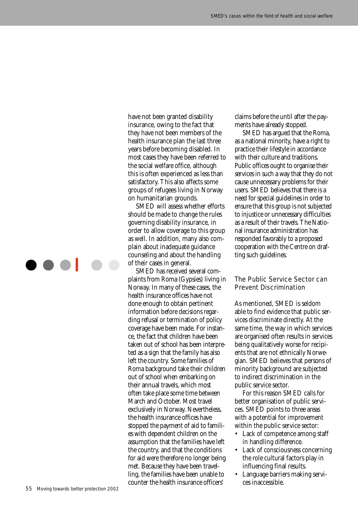have not been granted disability insurance, owing to the fact that they have not been members of the health insurance plan the last three years before becoming disabled. In most cases they have been referred to the social welfare office, although this is often experienced as less than satisfactory. This also affects some groups of refugees living in Norway on humanitarian grounds.

SMED will assess whether efforts should be made to change the rules governing disability insurance, in order to allow coverage to this group as well. In addition, many also complain about inadequate guidance counseling and about the handling of their cases in general.

SMED has received several complaints from Roma (Gypsies) living in Norway. In many of these cases, the health insurance offices have not done enough to obtain pertinent information before decisions regarding refusal or termination of policy coverage have been made. For instance, the fact that children have been taken out of school has been interpreted as a sign that the family has also left the country. Some families of Roma background take their children out of school when embarking on their annual travels, which most often take place some time between March and October. Most travel exclusively in Norway. Nevertheless, the health insurance offices have stopped the payment of aid to families with dependent children on the assumption that the families have left the country, and that the conditions for aid were therefore no longer being met. Because they have been travelling, the families have been unable to counter the health insurance officers'

claims before the until after the payments have already stopped.

SMED has argued that the Roma, as a national minority, have a right to practice their lifestyle in accordance with their culture and traditions. Public offices ought to organise their services in such a way that they do not cause unnecessary problems for their users. SMED believes that there is a need for special guidelines in order to ensure that this group is not subjected to injustice or unnecessary difficulties as a result of their travels. The National insurance administration has responded favorably to a proposed cooperation with the Centre on drafting such guidelines.

#### The Public Service Sector can Prevent Discrimination

As mentioned, SMED is seldom able to find evidence that public services discriminate directly. At the same time, the way in which services are organised often results in services being qualitatively worse for recipients that are not ethnically Norwegian. SMED believes that persons of minority background are subjected to indirect discrimination in the public service sector.

For this reason SMED calls for better organisation of public services. SMED points to three areas with a potential for improvement within the public service sector:

- Lack of competence among staff in handling difference.
- Lack of consciousness concerning the role cultural factors play in influencing final results.
- Language barriers making services inaccessible.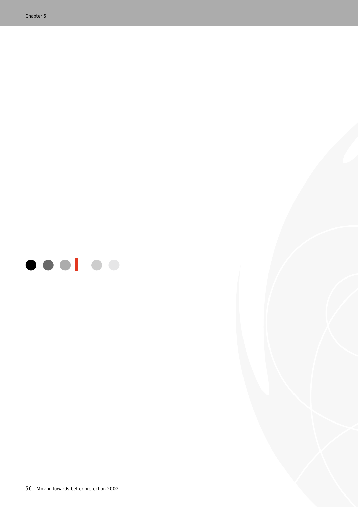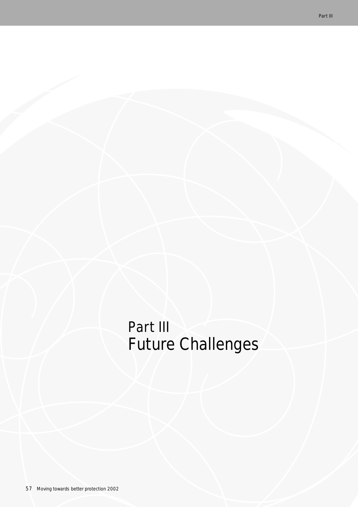# Part III Future Challenges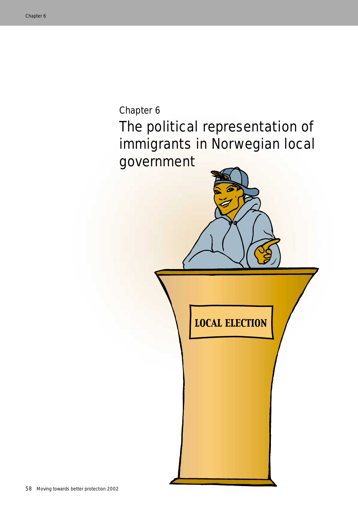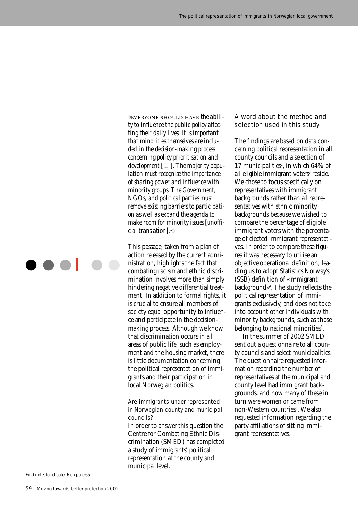«EVERYONE SHOULD HAVE *the ability to influence the public policy affecting their daily lives. It is important that minorities themselves are included in the decision-making process concerning policy prioritisation and development […]. The majority population must recognise the importance of sharing power and influence with minority groups. The Government, NGOs, and political parties must remove existing barriers to participation as well as expand the agenda to make room for minority issues [unofficial translation].*<sup>1</sup> *»* 

This passage, taken from a plan of action released by the current administration, highlights the fact that combating racism and ethnic discrimination involves more than simply hindering negative differential treatment. In addition to formal rights, it is crucial to ensure all members of society equal opportunity to influence and participate in the decisionmaking process. Although we know that discrimination occurs in all areas of public life, such as employment and the housing market, there is little documentation concerning the political representation of immigrants and their participation in local Norwegian politics.

#### *Are immigrants under-represented in Norwegian county and municipal councils?*

In order to answer this question the Centre for Combating Ethnic Discrimination (SMED) has completed a study of immigrants' political representation at the county and municipal level.

#### A word about the method and selection used in this study

The findings are based on data concerning political representation in all county councils and a selection of 17 municipalities<sup>2</sup>, in which  $64\%$  of all eligible immigrant voters<sup>3</sup> reside. We chose to focus specifically on representatives with immigrant backgrounds rather than all representatives with ethnic minority backgrounds because we wished to compare the percentage of eligible immigrant voters with the percentage of elected immigrant representatives. In order to compare these figures it was necessary to utilise an objective operational definition, leading us to adopt Statistics Norway's (SSB) definition of «immigrant background»4 . The study reflects the political representation of immigrants exclusively, and does not take into account other individuals with minority backgrounds, such as those belonging to national minorities<sup>5</sup>.

In the summer of 2002 SMED sent out a questionnaire to all county councils and select municipalities. The questionnaire requested information regarding the number of representatives at the municipal and county level had immigrant backgrounds, and how many of these in turn were women or came from non-Western countries<sup>6</sup>. We also requested information regarding the party affiliations of sitting immigrant representatives.



Find notes for chapter 6 on page 65.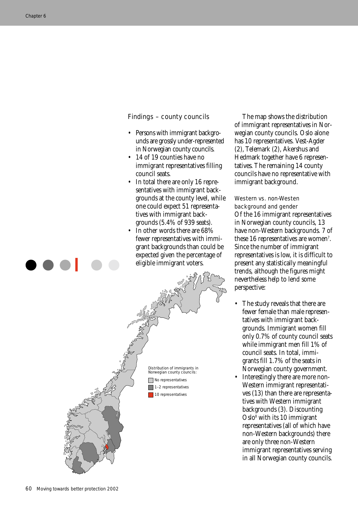#### Findings – county councils

- Persons with immigrant backgrounds are grossly under-represented in Norwegian county councils.
- 14 of 19 counties have no immigrant representatives filling council seats.
- In total there are only 16 representatives with immigrant backgrounds at the county level, while one could expect 51 representatives with immigrant backgrounds (5.4% of 939 seats).
- In other words there are 68% fewer representatives with immigrant backgrounds than could be expected given the percentage of eligible immigrant voters.

Distribution of immigrants in Norwegian county councils: No representatives 1–2 representatives 10 representatives



#### *Western vs. non-Westen background and gender*

Of the 16 immigrant representatives in Norwegian county councils, 13 have non-Western backgrounds. 7 of these 16 representatives are women<sup>7</sup>. Since the number of immigrant representatives is low, it is difficult to present any statistically meaningful trends, although the figures might nevertheless help to lend some perspective:

- The study reveals that there are fewer female than male representatives with immigrant backgrounds. Immigrant women fill only 0.7% of county council seats while immigrant men fill 1% of council seats. In total, immigrants fill 1.7% of the seats in Norwegian county government.
- Interestingly there are more non-Western immigrant representatives (13) than there are representatives with Western immigrant backgrounds (3). Discounting Oslo8 with its 10 immigrant representatives (all of which have non-Western backgrounds) there are only three non-Western immigrant representatives serving in all Norwegian county councils.

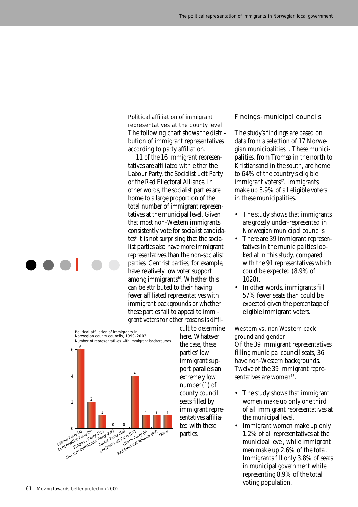*Political affiliation of immigrant representatives at the county level* The following chart shows the distribution of immigrant representatives according to party affiliation.

11 of the 16 immigrant representatives are affiliated with either the Labour Party, the Socialist Left Party or the Red Ellectoral Alliance. In other words, the socialist parties are home to a large proportion of the total number of immigrant representatives at the municipal level. Given that most non-Western immigrants consistently vote for socialist candidates<sup>9</sup> it is not surprising that the socialist parties also have more immigrant representatives than the non-socialist parties. Centrist parties, for example, have relatively low voter support among immigrants<sup>10</sup>. Whether this can be attributed to their having fewer affiliated representatives with immigrant backgrounds or whether these parties fail to appeal to immigrant voters for other reasons is diffi-



cult to determine here. Whatever the case, these parties' low immigrant support parallels an extremely low number (1) of county council seats filled by immigrant representatives affiliated with these parties.

#### Findings- municipal councils

The study's findings are based on data from a selection of 17 Norwegian municipalities<sup>11</sup>. These municipalities, from Tromsø in the north to Kristiansand in the south, are home to 64% of the country's eligible immigrant voters<sup>12</sup>. Immigrants make up 8.9% of all eligible voters in these municipalities.

- The study shows that immigrants are grossly under-represented in Norwegian municipal councils.
- There are 39 immigrant representatives in the municipalities looked at in this study, compared with the 91 representatives which could be expected (8.9% of 1028).
- In other words, immigrants fill 57% fewer seats than could be expected given the percentage of eligible immigrant voters.

#### *Western vs. non-Western background and gender*

Of the 39 immigrant representatives filling municipal council seats, 36 have non-Western backgrounds. Twelve of the 39 immigrant representatives are women $13$ .

- The study shows that immigrant women make up only one third of all immigrant representatives at the municipal level.
- Immigrant women make up only 1.2% of all representatives at the municipal level, while immigrant men make up 2.6% of the total. Immigrants fill only 3.8% of seats in municipal government while representing 8.9% of the total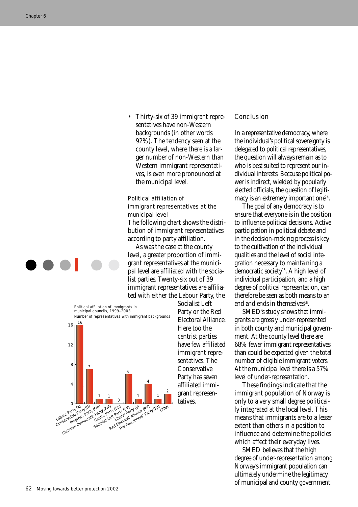• Thirty-six of 39 immigrant representatives have non-Western backgrounds (in other words 92%). The tendency seen at the county level, where there is a larger number of non-Western than Western immigrant representatives, is even more pronounced at the municipal level.

#### *Political affiliation of immigrant representatives at the municipal level*

The following chart shows the distribution of immigrant representatives according to party affiliation.

As was the case at the county level, a greater proportion of immigrant representatives at the municipal level are affiliated with the socialist parties. Twenty-six out of 39 immigrant representatives are affiliated with either the Labour Party, the



Socialist Left Party or the Red Electoral Alliance. Here too the centrist parties have few affiliated immigrant representatives. The **Conservative** Party has seven affiliated immigrant representatives.

#### Conclusion

In a representative democracy, where the individual's political sovereignty is delegated to political representatives, the question will always remain as to who is best suited to represent our individual interests. Because political power is indirect, wielded by popularly elected officials, the question of legitimacy is an extremely important one<sup>14</sup>.

The goal of any democracy is to ensure that everyone is in the position to influence political decisions. Active participation in political debate and in the decision-making process is key to the cultivation of the individual qualities and the level of social integration necessary to maintaining a democratic society<sup>15</sup>. A high level of individual participation, and a high degree of political representation, can therefore be seen as both means to an end and ends in themselves $16$ .

SMED's study shows that immigrants are grossly under-represented in both county and municipal government. At the county level there are 68% fewer immigrant representatives than could be expected given the total number of eligible immigrant voters. At the municipal level there is a 57% level of under-representation.

These findings indicate that the immigrant population of Norway is only to a very small degree politically integrated at the local level. This means that immigrants are to a lesser extent than others in a position to influence and determine the policies which affect their everyday lives.

SMED believes that the high degree of under-representation among Norway's immigrant population can ultimately undermine the legitimacy of municipal and county government. <sup>62</sup> Moving towards better protection 2002

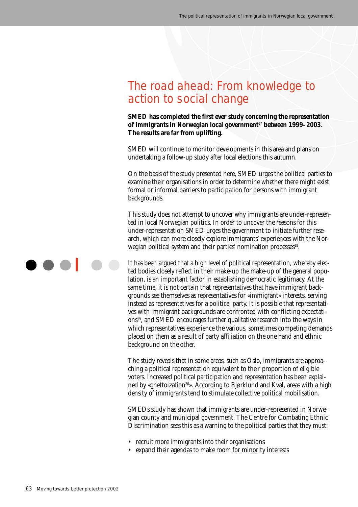### The road ahead: From knowledge to action to social change

#### **SMED has completed the first ever study concerning the representation of immigrants in Norwegian local government**<sup>17</sup> **between 1999–2003. The results are far from uplifting.**

SMED will continue to monitor developments in this area and plans on undertaking a follow-up study after local elections this autumn.

On the basis of the study presented here, SMED urges the political parties to examine their organisations in order to determine whether there might exist formal or informal barriers to participation for persons with immigrant backgrounds.

This study does not attempt to uncover why immigrants are under-represented in local Norwegian politics. In order to uncover the reasons for this under-representation SMED urges the government to initiate further research, which can more closely explore immigrants' experiences with the Norwegian political system and their parties' nomination processes<sup>18</sup>.

It has been argued that a high level of political representation, whereby elected bodies closely reflect in their make-up the make-up of the general population, is an important factor in establishing democratic legitimacy. At the same time, it is not certain that representatives that have immigrant backgrounds see themselves as representatives for «immigrant» interests, serving instead as representatives for a political party. It is possible that representatives with immigrant backgrounds are confronted with conflicting expectations<sup>19</sup>, and SMED encourages further qualitative research into the ways in which representatives experience the various, sometimes competing demands placed on them as a result of party affiliation on the one hand and ethnic background on the other.

The study reveals that in some areas, such as Oslo, immigrants are approaching a political representation equivalent to their proportion of eligible voters. Increased political participation and representation has been explained by «ghettoization<sup>20</sup>». According to Bjørklund and Kval, areas with a high density of immigrants tend to stimulate collective political mobilisation.

SMEDs study has shown that immigrants are under-represented in Norwegian county and municipal government. The Centre for Combating Ethnic Discrimination sees this as a warning to the political parties that they must:

- recruit more immigrants into their organisations
- expand their agendas to make room for minority interests

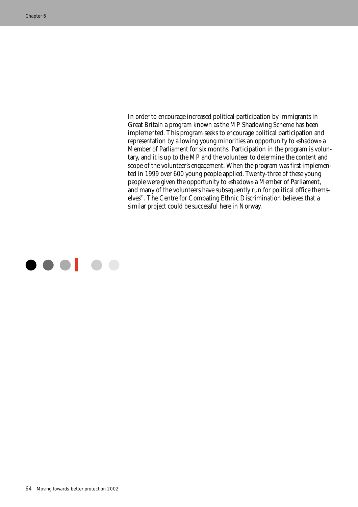In order to encourage increased political participation by immigrants in Great Britain a program known as the MP Shadowing Scheme has been implemented. This program seeks to encourage political participation and representation by allowing young minorities an opportunity to «shadow» a Member of Parliament for six months. Participation in the program is voluntary, and it is up to the MP and the volunteer to determine the content and scope of the volunteer's engagement. When the program was first implemented in 1999 over 600 young people applied. Twenty-three of these young people were given the opportunity to «shadow» a Member of Parliament, and many of the volunteers have subsequently run for political office themselves<sup>21</sup>. The Centre for Combating Ethnic Discrimination believes that a similar project could be successful here in Norway.

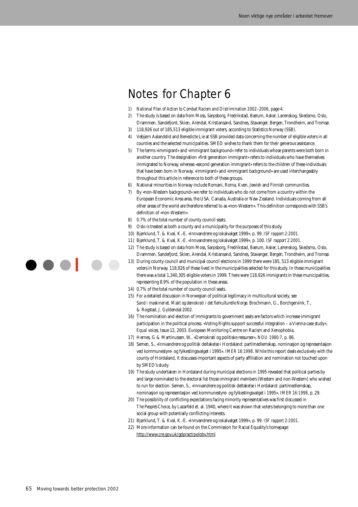## Notes for Chapter 6

- 1) *National Plan of Action to Combat Racism and Discrimination 2002–2006*, page 4.
- 2) The study is based on data from Moss, Sarpsborg, Fredrikstad, Bærum, Asker, Lørenskog, Skedsmo, Oslo, Drammen, Sandefjord, Skien, Arendal, Kristiansand, Sandnes, Stavanger, Bergen, Trondheim, and Tromsø.
- 3) 118,926 out of 185,513 eligible immigrant voters, according to Statistics Norway (SSB).
- 4) Vebjørn Aalandslid and Benedicte Lie at SSB provided data concerning the number of eligible voters in all counties and the selected municipalities. SMED wishes to thank them for their generous assistance.
- 5) The terms «immigrant» and «immigrant background» refer to individuals whose parents were both born in another country. The designation «first generation immigrant» refers to individuals who have themselves immigrated to Norway, whereas «second generation immigrant» refers to the children of these individuals that have been born in Norway. «Immigrant» and «immigrant background» are used interchangeably throughout this article in reference to both of these groups.
- National minorities in Norway include Romani, Roma, Kven, Jewish and Finnish communities.
- 7) By «non-Western background» we refer to individuals who do not come from a country within the European Economic Area area, the USA, Canada, Australia or New Zealand. Individuals coming from all other areas of the world are therefore referred to as «non-Western». This definition corresponds with SSB's definition of «non-Western».
- 8) 0.7% of the total number of county council seats.
- 9) Oslo is treated as both a county and a municipality for the purposes of this study.
- 10) Bjørklund, T. & Kval, K.-E. «Innvandrere og lokalvalget 1999», p. 99. *ISF rapport 2:2001*.
- 11) Bjørklund, T. & Kval, K.-E. «Innvandrere og lokalvalget 1999», p. 100. *ISF rapport 2:2001*.
- 12) The study is based on data from Moss, Sarpsborg, Fredrikstad, Bærum, Asker, Lørenskog, Skedsmo, Oslo, Drammen, Sandefjord, Skien, Arendal, Kristiansand, Sandnes, Stavanger, Bergen, Trondheim, and Tromsø.
- 13) During county council and municipal council elections in 1999 there were 185, 513 eligible immigrant voters in Norway. 118,926 of these lived in the municipalities selected for this study. In these municipalities there was a total 1,340,305 eligible voters in 1999. There were 118,926 immigrants in these municipalities, representing 8.9% of the population in these areas.
- 14) 0.7% of the total number of county council seats.
- 15) For a detailed discussion in Norwegian of political legitimacy in multicultural society, see *Sand i maskineriet. Makt og demokrati i det flerkulturelle Norge*. Brochmann, G., Borchgervink, T., & Rogstad, J. Gyldendal:2002.
- 16) The nomination and election of immigrants to government seats are factors which increase immigrant participation in the political process. «Voting Rights support successful integration – a Vienna case study», *Equal voices*, Issue 12, 2003. European Monitoring Centre on Racism and Xenophobia.
- 17) Hernes, G & Martinussen, W., «Demokrati og politiske ressurser», *NOU 1980:7*, p. 86.
- 18) Semen, S., «Innvandrere og politisk deltakelse i Hordaland: partimedlemskap, nominasjon og representasjon ved kommunestyre- og fylkestingsvalget i 1995». *IMER 16:1998*. While this report deals exclusively with the county of Hordaland, it discusses important aspects of party affiliation and nomination not touched upon by SMED's study.
- 19) The study undertaken in Hordaland during municipal elections in 1995 revealed that political parties by and large nominated to the electoral list those immigrant members (Western and non-Western) who wished to run for election. Semen, S., «Innvandrere og politisk deltakelse i Hordaland: partimedlemskap, nominasjon og representasjon ved kommunestyre- og fylkestingsvalget i 1995». *IMER 16:1998*, p. 29.
- 20) The possibility of conflicting expectations facing minority representatives was first discussed in *The People's Choice,* by Lazarfeld et. al. 1940, where it was shown that voters belonging to more than one social group with potentially conflicting interests.
- 21) Bjørklund, T. & Kval, K.-E. «Innvandrere og lokalvalget 1999», p. 99. *ISF rapport 2:2001.*
- 22) More information can be found on the Commission for Racial Equality's homepage: http://www.cre.gov.uk/gdpract/polobv.html

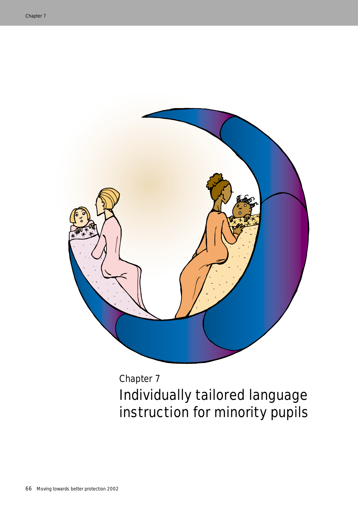

Chapter 7 Individually tailored language instruction for minority pupils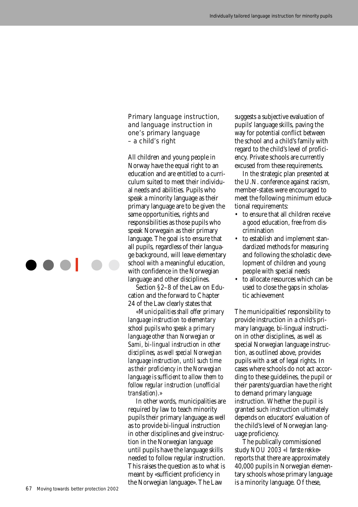#### Primary language instruction, and language instruction in one's primary language – a child's right

All children and young people in Norway have the equal right to an education and are entitled to a curriculum suited to meet their individual needs and abilities. Pupils who speak a minority language as their primary language are to be given the same opportunities, rights and responsibilities as those pupils who speak Norwegain as their primary language. The goal is to ensure that all pupils, regardless of their language background, will leave elementary school with a meaningful education, with confidence in the Norwegian language and other disciplines.

Section §2–8 of the Law on Education and the forward to Chapter 24 of the Law clearly states that

*«Municipalities shall offer primary language instruction to elementary school pupils who speak a primary language other than Norwegian or Sami, bi-lingual instruction in other disciplines, as well special Norwegian language instruction, until such time as their proficiency in the Norwegian language is sufficient to allow them to follow regular instruction (unofficial translation).»* 

In other words, municipalities are required by law to teach minority pupils their primary language as well as to provide bi-lingual instruction in other disciplines and give instruction in the Norwegian language until pupils have the language skills needed to follow regular instruction. This raises the question as to what is meant by «sufficient proficiency in the Norwegian language». The Law is a minority language. Of these,<br>67 Moving towards better protection 2002

suggests a subjective evaluation of pupils' language skills, paving the way for potential conflict between the school and a child's family with regard to the child's level of proficiency. Private schools are currently excused from these requirements.

In the strategic plan presented at the U.N. conference against racism, member-states were encouraged to meet the following minimum educational requirements:

- to ensure that all children receive a good education, free from discrimination
- to establish and implement standardized methods for measuring and following the scholastic development of children and young people with special needs
- to allocate resources which can be used to close the gaps in scholastic achievement

The municipalities' responsibility to provide instruction in a child's primary language, bi-lingual instruction in other disciplines, as well as special Norwegian language instruction, as outlined above, provides pupils with a set of legal rights. In cases where schools do not act according to these guidelines, the pupil or their parents/guardian have the right to demand primary language instruction. Whether the pupil is granted such instruction ultimately depends on educators' evaluation of the child's level of Norwegian language proficiency.

The publically commissioned study *NOU 2003 «I første rekke»* reports that there are approximately 40,000 pupils in Norwegian elementary schools whose primary language

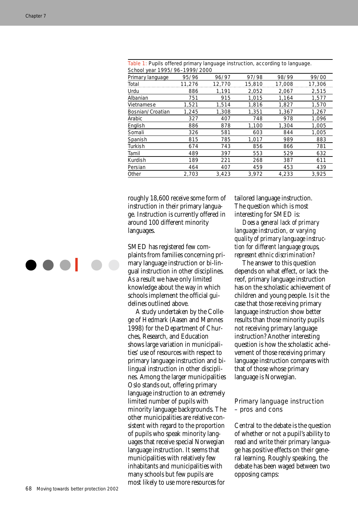| School year 1995/96-1999/2000 |        |        |        |        |        |  |  |  |  |
|-------------------------------|--------|--------|--------|--------|--------|--|--|--|--|
| Primary language              | 95/96  | 96/97  | 97/98  | 98/99  | 99/00  |  |  |  |  |
| Total                         | 11.276 | 12.770 | 15,810 | 17,008 | 17,306 |  |  |  |  |
| Urdu                          | 886    | 1,191  | 2,052  | 2,067  | 2,515  |  |  |  |  |
| Albanian                      | 751    | 915    | 1,015  | 1,164  | 1,577  |  |  |  |  |
| Vietnamese                    | 1,521  | 1.514  | 1,816  | 1,827  | 1,570  |  |  |  |  |
| Bosnian/Croatian              | 1,245  | 1,308  | 1,351  | 1,367  | 1,267  |  |  |  |  |
| Arabic                        | 327    | 407    | 748    | 978    | 1,096  |  |  |  |  |
| English                       | 886    | 878    | 1,100  | 1,304  | 1,005  |  |  |  |  |
| Somali                        | 326    | 581    | 603    | 844    | 1,005  |  |  |  |  |
| Spanish                       | 815    | 785    | 1,017  | 989    | 883    |  |  |  |  |
| Turkish                       | 674    | 743    | 856    | 866    | 781    |  |  |  |  |
| Tamil                         | 489    | 397    | 553    | 529    | 632    |  |  |  |  |
| Kurdish                       | 189    | 221    | 268    | 387    | 611    |  |  |  |  |
| Persian                       | 464    | 407    | 459    | 453    | 439    |  |  |  |  |
| Other                         | 2,703  | 3,423  | 3,972  | 4,233  | 3,925  |  |  |  |  |
|                               |        |        |        |        |        |  |  |  |  |

Table 1: Pupils offered primary language instruction, according to language.

roughly 18,600 receive some form of instruction in their primary language. Instruction is currently offered in around 100 different minority languages.

SMED has registered few complaints from families concerning primary language instruction or bi-lingual instruction in other disciplines. As a result we have only limited knowledge about the way in which schools implement the official guidelines outlined above.

A study undertaken by the College of Hedmark (Aasen and Mønnes 1998) for the Department of Churches, Research, and Education shows large variation in municipalities' use of resources with respect to primary language instruction and bilingual instruction in other disciplines. Among the larger municipalities Oslo stands out, offering primary language instruction to an extremely limited number of pupils with minority language backgrounds. The other municipalities are relative consistent with regard to the proportion of pupils who speak minority languages that receive special Norwegian language instruction. It seems that municipalities with relatively few inhabitants and municipalities with many schools but few pupils are most likely to use more resources for

tailored language instruction. The question which is most interesting for SMED is:

*Does a general lack of primary language instruction, or varying quality of primary language instruction for different language groups, represent ethnic discrimination?*

The answer to this question depends on what effect, or lack thereof, primary language instruction has on the scholastic achievement of children and young people. Is it the case that those receiving primary language instruction show better results than those minority pupils not receiving primary language instruction? Another interesting question is how the scholastic acheivement of those receiving primary language instruction compares with that of those whose primary language is Norwegian.

#### Primary language instruction – pros and cons

Central to the debate is the question of whether or not a pupil's ability to read and write their primary language has positive effects on their general learning. Roughly speaking, the debate has been waged between two opposing camps:

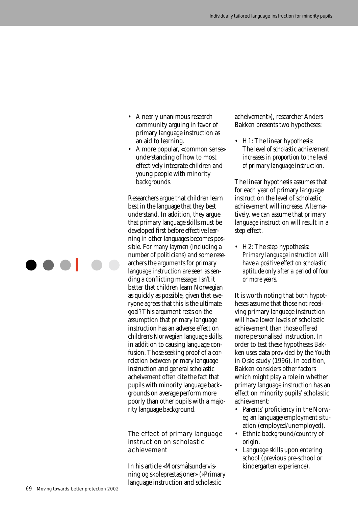- A nearly unanimous research community arguing in favor of primary language instruction as an aid to learning.
- A more popular, «common sense» understanding of how to most effectively integrate children and young people with minority backgrounds.

Researchers argue that children learn best in the language that they best understand. In addition, they argue that primary language skills must be developed first before effective learning in other languages becomes possible. For many laymen (including a number of politicians) and some researchers the arguments for primary language instruction are seen as sending a conflicting message: Isn't it better that children learn Norwegian as quickly as possible, given that everyone agrees that this is the ultimate goal? This argument rests on the assumption that primary language instruction has an adverse effect on children's Norwegian language skills, in addition to causing language confusion. Those seeking proof of a correlation between primary language instruction and general scholastic acheivement often cite the fact that pupils with minority language backgrounds on average perform more poorly than other pupils with a majority language background.

#### The effect of primary language instruction on scholastic achievement

In his article «Morsmålsundervisning og skoleprestasjoner» («Primary language instruction and scholastic

acheivement»), researcher Anders Bakken presents two hypotheses:

• H1: The linear hypothesis: *The level of scholastic achievement increases in proportion to the level of primary language instruction.*

The linear hypothesis assumes that for each year of primary language instruction the level of scholastic achievement will increase. Alternatively, we can assume that primary language instruction will result in a step effect.

• H2: The step hypothesis: *Primary language instruction will have a positive effect on scholastic aptitude only after a period of four or more years.*

It is worth noting that both hypotheses assume that those not receiving primary language instruction will have lower levels of scholastic achievement than those offered more personalised instruction. In order to test these hypotheses Bakken uses data provided by the Youth in Oslo study (1996). In addition, Bakken considers other factors which might play a role in whether primary language instruction has an effect on minority pupils' scholastic achievement:

- Parents' proficiency in the Norwegian language/employment situation (employed/unemployed).
- Ethnic background/country of origin.
- Language skills upon entering school (previous pre-school or kindergarten experience).

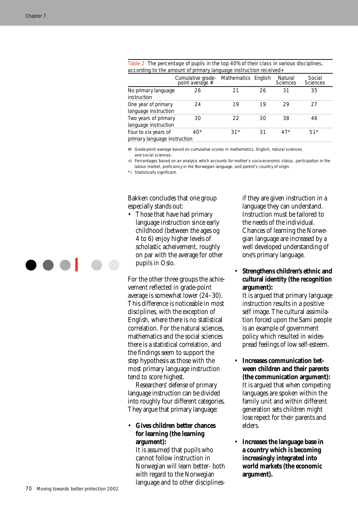#### Table 2: The percentage of pupils in the top 40% of their class in various disciplines, according to the amount of primary language instruction received+

|                                                      | Cumulative grade Mathematics English<br>point average # |        | Natural | Social<br>Sciences Sciences |
|------------------------------------------------------|---------------------------------------------------------|--------|---------|-----------------------------|
| No primary language<br>instruction                   |                                                         |        |         | 35                          |
| One year of primary<br>language instruction          |                                                         |        |         |                             |
| Two years of primary<br>language instruction         |                                                         |        |         |                             |
| Four to six years of<br>primary language instruction |                                                         | ′२ 1 * | 17*     |                             |

#) Grade-point average based on cumulative scores in mathematics, English, natural sciences, and social sciences.

+) Percentages based on an analysis which accounts for mother's socio-economic status, participation in the labour market, proficiency in the Norwegian language, and parent's country of origin.

\*) Statistically significant.

Bakken concludes that one group especially stands out:

Those that have had primary language instruction since early childhood (between the ages og 4 to 6) enjoy higher levels of scholastic acheivement, roughly on par with the average for other pupils in Oslo.

For the other three groups the achievement reflected in grade-point average is somewhat lower (24–30). This difference is noticeable in most disciplines, with the exception of English, where there is no statistical correlation. For the natural sciences, mathematics and the social sciences there is a statistical correlation, and the findings seem to support the step hypothesis as those with the most primary language instruction tend to score highest.

Researchers' defense of primary language instruction can be divided into roughly four different categories. They argue that primary language:

#### • **Gives children better chances for learning (the learning argument):**

It is assumed that pupils who cannot follow instruction in Norwegian will learn better- both with regard to the Norwegian language and to other disciplinesif they are given instruction in a language they can understand. Instruction must be tailored to the needs of the individual. Chances of learning the Norwegian language are increased by a well developed understanding of one's primary language.

• **Strengthens children's ethnic and cultural identity (the recognition argument):**

It is argued that primary language instruction results in a positive self image. The cultural assimilation forced upon the Sami people is an example of government policy which resulted in widespread feelings of low self-esteem.

- **Increases communication between children and their parents (the communication argument):** It is argued that when competing languages are spoken within the family unit and within different generation sets children might lose repect for their parents and elders.
- **Increases the language base in a country which is becoming increasingly integrated into world markets (the economic argument).**

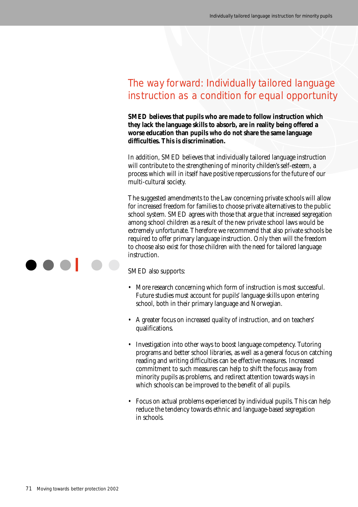### The way forward: Individually tailored language instruction as a condition for equal opportunity

**SMED believes that pupils who are made to follow instruction which they lack the language skills to absorb, are in reality being offered a worse education than pupils who do not share the same language difficulties. This is discrimination.**

In addition, SMED believes that individually tailored language instruction will contribute to the strengthening of minority childen's self-esteem, a process which will in itself have positive repercussions for the future of our multi-cultural society.

The suggested amendments to the Law concerning private schools will allow for increased freedom for families to choose private alternatives to the public school system. SMED agrees with those that argue that increased segregation among school children as a result of the new private school laws would be extremely unfortunate. Therefore we recommend that also private schools be required to offer primary language instruction. Only then will the freedom to choose also exist for those children with the need for tailored language instruction.

SMED also supports:

- More research concerning which form of instruction is most successful. Future studies must account for pupils' language skills upon entering school, both in their primary language and Norwegian.
- A greater focus on increased quality of instruction, and on teachers' qualifications.
- Investigation into other ways to boost language competency. Tutoring programs and better school libraries, as well as a general focus on catching reading and writing difficulties can be effective measures. Increased commitment to such measures can help to shift the focus away from minority pupils as problems, and redirect attention towards ways in which schools can be improved to the benefit of all pupils.
- Focus on actual problems experienced by individual pupils. This can help reduce the tendency towards ethnic and language-based segregation in schools.

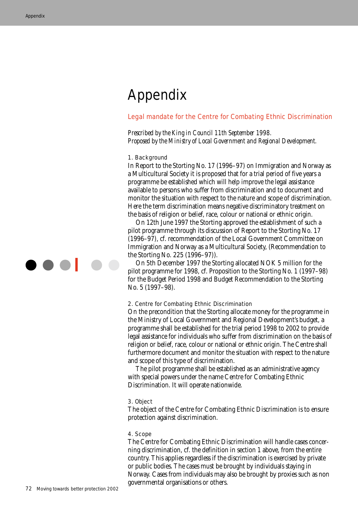# Appendix

#### Legal mandate for the Centre for Combating Ethnic Discrimination

*Prescribed by the King in Council 11th September 1998. Proposed by the Ministry of Local Government and Regional Development.*

#### *1. Background*

In Report to the Storting No. 17 (1996–97) on Immigration and Norway as a Multicultural Society it is proposed that for a trial period of five years a programme be established which will help improve the legal assistance available to persons who suffer from discrimination and to document and monitor the situation with respect to the nature and scope of discrimination. Here the term discrimination means negative discriminatory treatment on the basis of religion or belief, race, colour or national or ethnic origin.

On 12th June 1997 the Storting approved the establishment of such a pilot programme through its discussion of Report to the Storting No. 17 (1996–97), cf. recommendation of the Local Government Committee on Immigration and Norway as a Multicultural Society, (Recommendation to the Storting No. 225 (1996–97)).

On 5th December 1997 the Storting allocated NOK 5 million for the pilot programme for 1998, cf. Proposition to the Storting No. 1 (1997–98) for the Budget Period 1998 and Budget Recommendation to the Storting No. 5 (1997–98).

#### *2. Centre for Combating Ethnic Discrimination*

On the precondition that the Storting allocate money for the programme in the Ministry of Local Government and Regional Development's budget, a programme shall be established for the trial period 1998 to 2002 to provide legal assistance for individuals who suffer from discrimination on the basis of religion or belief, race, colour or national or ethnic origin. The Centre shall furthermore document and monitor the situation with respect to the nature and scope of this type of discrimination.

The pilot programme shall be established as an administrative agency with special powers under the name Centre for Combating Ethnic Discrimination. It will operate nationwide.

#### *3. Object*

The object of the Centre for Combating Ethnic Discrimination is to ensure protection against discrimination.

#### *4. Scope*

The Centre for Combating Ethnic Discrimination will handle cases concerning discrimination, cf. the definition in section 1 above, from the entire country. This applies regardless if the discrimination is exercised by private or public bodies. The cases must be brought by individuals staying in Norway. Cases from individuals may also be brought by proxies such as non governmental organisations or others.<br>
72 Moving towards better protection 2002

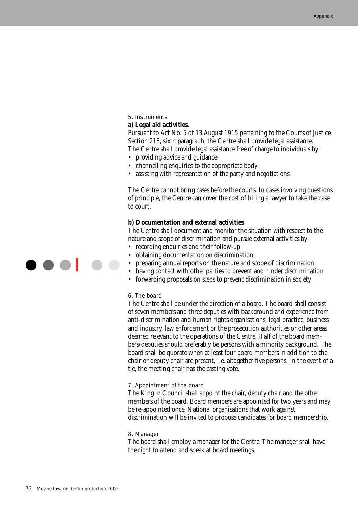# *5. Instruments*

## **a) Legal aid activities.**

Pursuant to Act No. 5 of 13 August 1915 pertaining to the Courts of Justice, Section 218, sixth paragraph, the Centre shall provide legal assistance. The Centre shall provide legal assistance free of charge to individuals by:

- providing advice and guidance
- channelling enquiries to the appropriate body
- assisting with representation of the party and negotiations

The Centre cannot bring cases before the courts. In cases involving questions of principle, the Centre can cover the cost of hiring a lawyer to take the case to court.

# **b) Documentation and external activities**

The Centre shall document and monitor the situation with respect to the nature and scope of discrimination and pursue external activities by:

- recording enquiries and their follow-up
- obtaining documentation on discrimination
- preparing annual reports on the nature and scope of discrimination
- having contact with other parties to prevent and hinder discrimination
- forwarding proposals on steps to prevent discrimination in society

## *6. The board*

The Centre shall be under the direction of a board. The board shall consist of seven members and three deputies with background and experience from anti-discrimination and human rights organisations, legal practice, business and industry, law enforcement or the prosecution authorities or other areas deemed relevant to the operations of the Centre. Half of the board members/deputies should preferably be persons with a minority background. The board shall be quorate when at least four board members in addition to the chair or deputy chair are present, i.e. altogether five persons. In the event of a tie, the meeting chair has the casting vote.

## *7. Appointment of the board*

The King in Council shall appoint the chair, deputy chair and the other members of the board. Board members are appointed for two years and may be re-appointed once. National organisations that work against discrimination will be invited to propose candidates for board membership.

## *8. Manager*

The board shall employ a manager for the Centre. The manager shall have the right to attend and speak at board meetings.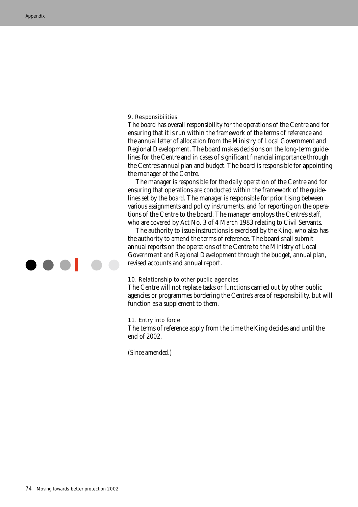#### *9. Responsibilities*

The board has overall responsibility for the operations of the Centre and for ensuring that it is run within the framework of the terms of reference and the annual letter of allocation from the Ministry of Local Government and Regional Development. The board makes decisions on the long-term guidelines for the Centre and in cases of significant financial importance through the Centre's annual plan and budget. The board is responsible for appointing the manager of the Centre.

The manager is responsible for the daily operation of the Centre and for ensuring that operations are conducted within the framework of the guidelines set by the board. The manager is responsible for prioritising between various assignments and policy instruments, and for reporting on the operations of the Centre to the board. The manager employs the Centre's staff, who are covered by Act No. 3 of 4 March 1983 relating to Civil Servants.

The authority to issue instructions is exercised by the King, who also has the authority to amend the terms of reference. The board shall submit annual reports on the operations of the Centre to the Ministry of Local Government and Regional Development through the budget, annual plan, revised accounts and annual report.

#### *10. Relationship to other public agencies*

The Centre will not replace tasks or functions carried out by other public agencies or programmes bordering the Centre's area of responsibility, but will function as a supplement to them.

#### *11. Entry into force*

The terms of reference apply from the time the King decides and until the end of 2002.

*(Since amended.)*

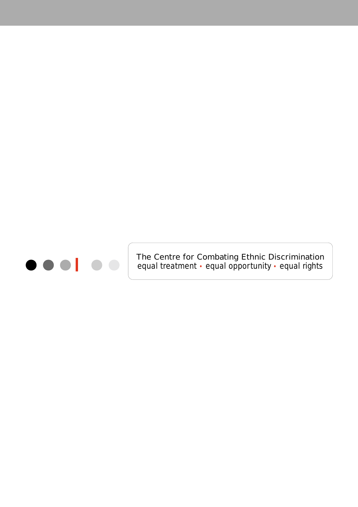

The Centre for Combating Ethnic Discrimination equal treatment • equal opportunity • equal rights